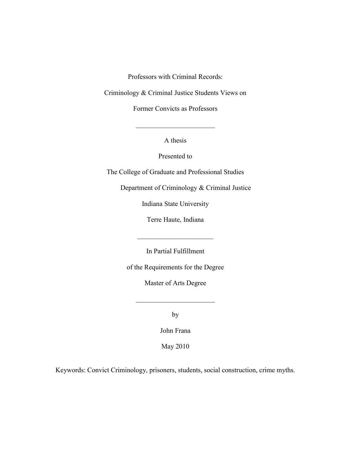Professors with Criminal Records:

Criminology & Criminal Justice Students Views on

Former Convicts as Professors

A thesis

 $\mathcal{L}_\text{max}$  , where  $\mathcal{L}_\text{max}$  , we have the set of  $\mathcal{L}_\text{max}$ 

Presented to

The College of Graduate and Professional Studies

Department of Criminology & Criminal Justice

Indiana State University

Terre Haute, Indiana

 $\mathcal{L}_\text{max}$  , where  $\mathcal{L}_\text{max}$  , we have the set of  $\mathcal{L}_\text{max}$ 

In Partial Fulfillment

of the Requirements for the Degree

Master of Arts Degree

 $\mathcal{L}_\text{max}$ 

by

John Frana

May 2010

Keywords: Convict Criminology, prisoners, students, social construction, crime myths.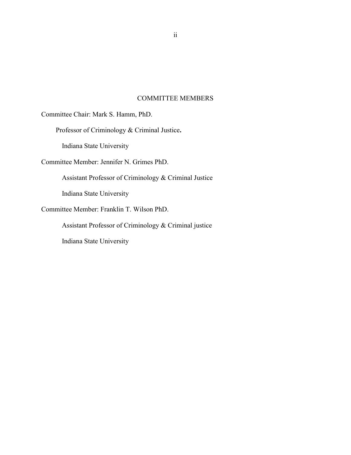# COMMITTEE MEMBERS

Committee Chair: Mark S. Hamm, PhD.

Professor of Criminology & Criminal Justice**.**

Indiana State University

Committee Member: Jennifer N. Grimes PhD.

Assistant Professor of Criminology & Criminal Justice

Indiana State University

Committee Member: Franklin T. Wilson PhD.

Assistant Professor of Criminology & Criminal justice

Indiana State University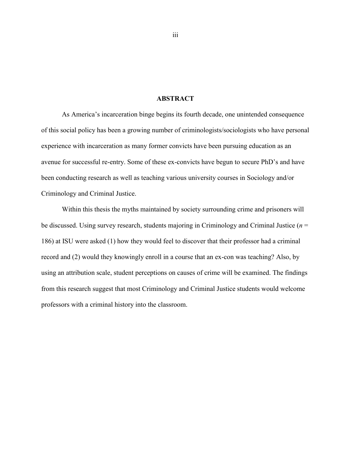# **ABSTRACT**

<span id="page-2-0"></span>As America's incarceration binge begins its fourth decade, one unintended consequence of this social policy has been a growing number of criminologists/sociologists who have personal experience with incarceration as many former convicts have been pursuing education as an avenue for successful re-entry. Some of these ex-convicts have begun to secure PhD's and have been conducting research as well as teaching various university courses in Sociology and/or Criminology and Criminal Justice.

Within this thesis the myths maintained by society surrounding crime and prisoners will be discussed. Using survey research, students majoring in Criminology and Criminal Justice (*n* = 186) at ISU were asked (1) how they would feel to discover that their professor had a criminal record and (2) would they knowingly enroll in a course that an ex-con was teaching? Also, by using an attribution scale, student perceptions on causes of crime will be examined. The findings from this research suggest that most Criminology and Criminal Justice students would welcome professors with a criminal history into the classroom.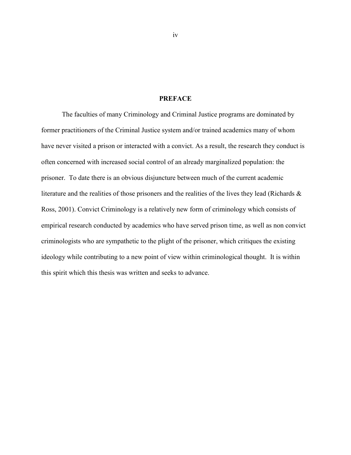#### **PREFACE**

<span id="page-3-0"></span>The faculties of many Criminology and Criminal Justice programs are dominated by former practitioners of the Criminal Justice system and/or trained academics many of whom have never visited a prison or interacted with a convict. As a result, the research they conduct is often concerned with increased social control of an already marginalized population: the prisoner. To date there is an obvious disjuncture between much of the current academic literature and the realities of those prisoners and the realities of the lives they lead (Richards & Ross, 2001). Convict Criminology is a relatively new form of criminology which consists of empirical research conducted by academics who have served prison time, as well as non convict criminologists who are sympathetic to the plight of the prisoner, which critiques the existing ideology while contributing to a new point of view within criminological thought. It is within this spirit which this thesis was written and seeks to advance.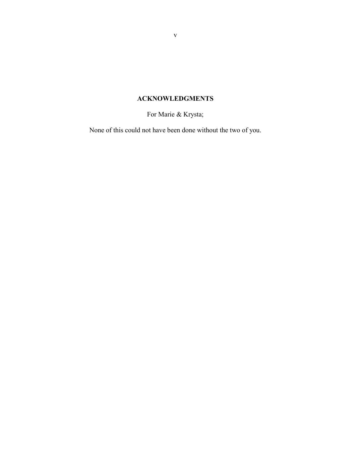# **ACKNOWLEDGMENTS**

For Marie & Krysta;

<span id="page-4-0"></span>None of this could not have been done without the two of you.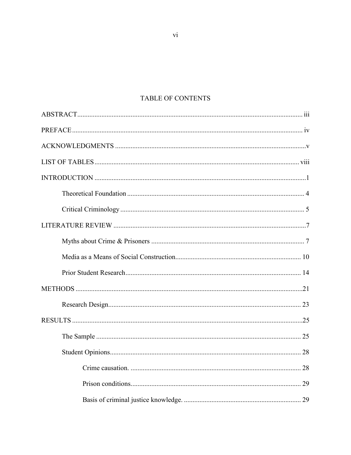# TABLE OF CONTENTS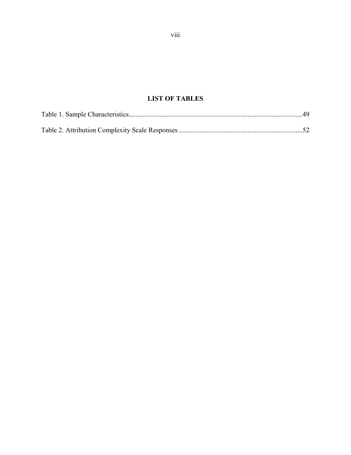# **LIST OF TABLES**

<span id="page-7-0"></span>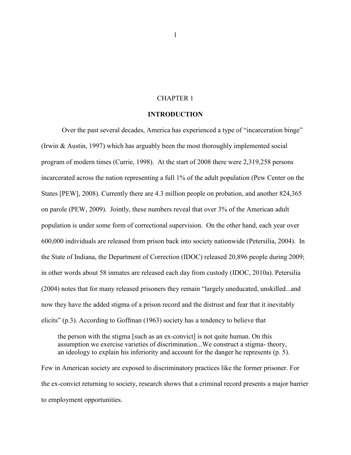# CHAPTER 1

#### **INTRODUCTION**

<span id="page-8-0"></span>Over the past several decades, America has experienced a type of "incarceration binge" (Irwin & Austin, 1997) which has arguably been the most thoroughly implemented social program of modern times (Currie, 1998). At the start of 2008 there were 2,319,258 persons incarcerated across the nation representing a full 1% of the adult population (Pew Center on the States [PEW], 2008). Currently there are 4.3 million people on probation, and another 824,365 on parole (PEW, 2009). Jointly, these numbers reveal that over 3% of the American adult population is under some form of correctional supervision. On the other hand, each year over 600,000 individuals are released from prison back into society nationwide (Petersilia, 2004). In the State of Indiana, the Department of Correction (IDOC) released 20,896 people during 2009; in other words about 58 inmates are released each day from custody (IDOC, 2010a). Petersilia (2004) notes that for many released prisoners they remain "largely uneducated, unskilled...and now they have the added stigma of a prison record and the distrust and fear that it inevitably elicits" (p.3). According to Goffman (1963) society has a tendency to believe that

the person with the stigma [such as an ex-convict] is not quite human. On this assumption we exercise varieties of discrimination...We construct a stigma- theory, an ideology to explain his inferiority and account for the danger he represents (p. 5).

Few in American society are exposed to discriminatory practices like the former prisoner. For the ex-convict returning to society, research shows that a criminal record presents a major barrier to employment opportunities.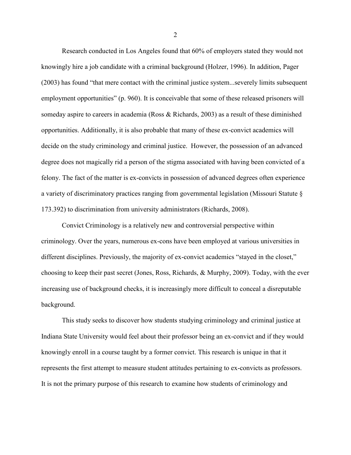Research conducted in Los Angeles found that 60% of employers stated they would not knowingly hire a job candidate with a criminal background (Holzer, 1996). In addition, Pager (2003) has found "that mere contact with the criminal justice system...severely limits subsequent employment opportunities" (p. 960). It is conceivable that some of these released prisoners will someday aspire to careers in academia (Ross & Richards, 2003) as a result of these diminished opportunities. Additionally, it is also probable that many of these ex-convict academics will decide on the study criminology and criminal justice. However, the possession of an advanced degree does not magically rid a person of the stigma associated with having been convicted of a felony. The fact of the matter is ex-convicts in possession of advanced degrees often experience a variety of discriminatory practices ranging from governmental legislation (Missouri Statute § 173.392) to discrimination from university administrators (Richards, 2008).

Convict Criminology is a relatively new and controversial perspective within criminology. Over the years, numerous ex-cons have been employed at various universities in different disciplines. Previously, the majority of ex-convict academics "stayed in the closet," choosing to keep their past secret (Jones, Ross, Richards, & Murphy, 2009). Today, with the ever increasing use of background checks, it is increasingly more difficult to conceal a disreputable background.

This study seeks to discover how students studying criminology and criminal justice at Indiana State University would feel about their professor being an ex-convict and if they would knowingly enroll in a course taught by a former convict. This research is unique in that it represents the first attempt to measure student attitudes pertaining to ex-convicts as professors. It is not the primary purpose of this research to examine how students of criminology and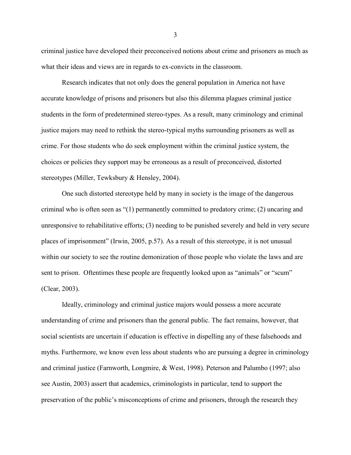criminal justice have developed their preconceived notions about crime and prisoners as much as what their ideas and views are in regards to ex-convicts in the classroom.

Research indicates that not only does the general population in America not have accurate knowledge of prisons and prisoners but also this dilemma plagues criminal justice students in the form of predetermined stereo-types. As a result, many criminology and criminal justice majors may need to rethink the stereo-typical myths surrounding prisoners as well as crime. For those students who do seek employment within the criminal justice system, the choices or policies they support may be erroneous as a result of preconceived, distorted stereotypes (Miller, Tewksbury & Hensley, 2004).

One such distorted stereotype held by many in society is the image of the dangerous criminal who is often seen as "(1) permanently committed to predatory crime; (2) uncaring and unresponsive to rehabilitative efforts; (3) needing to be punished severely and held in very secure places of imprisonment" (Irwin, 2005, p.57). As a result of this stereotype, it is not unusual within our society to see the routine demonization of those people who violate the laws and are sent to prison. Oftentimes these people are frequently looked upon as "animals" or "scum" (Clear, 2003).

Ideally, criminology and criminal justice majors would possess a more accurate understanding of crime and prisoners than the general public. The fact remains, however, that social scientists are uncertain if education is effective in dispelling any of these falsehoods and myths. Furthermore, we know even less about students who are pursuing a degree in criminology and criminal justice (Farnworth, Longmire, & West, 1998). Peterson and Palumbo (1997; also see Austin, 2003) assert that academics, criminologists in particular, tend to support the preservation of the public's misconceptions of crime and prisoners, through the research they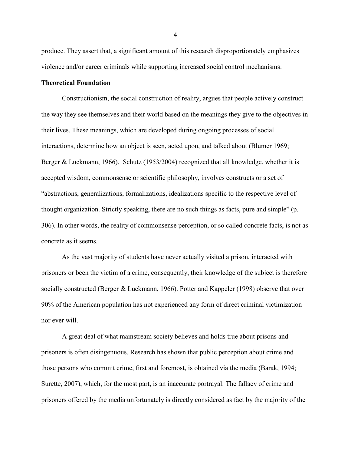produce. They assert that, a significant amount of this research disproportionately emphasizes violence and/or career criminals while supporting increased social control mechanisms.

#### <span id="page-11-0"></span>**Theoretical Foundation**

Constructionism, the social construction of reality, argues that people actively construct the way they see themselves and their world based on the meanings they give to the objectives in their lives. These meanings, which are developed during ongoing processes of social interactions, determine how an object is seen, acted upon, and talked about (Blumer 1969; Berger & Luckmann, 1966). Schutz (1953/2004) recognized that all knowledge, whether it is accepted wisdom, commonsense or scientific philosophy, involves constructs or a set of "abstractions, generalizations, formalizations, idealizations specific to the respective level of thought organization. Strictly speaking, there are no such things as facts, pure and simple" (p. 306). In other words, the reality of commonsense perception, or so called concrete facts, is not as concrete as it seems.

As the vast majority of students have never actually visited a prison, interacted with prisoners or been the victim of a crime, consequently, their knowledge of the subject is therefore socially constructed (Berger & Luckmann, 1966). Potter and Kappeler (1998) observe that over 90% of the American population has not experienced any form of direct criminal victimization nor ever will.

A great deal of what mainstream society believes and holds true about prisons and prisoners is often disingenuous. Research has shown that public perception about crime and those persons who commit crime, first and foremost, is obtained via the media (Barak, 1994; Surette, 2007), which, for the most part, is an inaccurate portrayal. The fallacy of crime and prisoners offered by the media unfortunately is directly considered as fact by the majority of the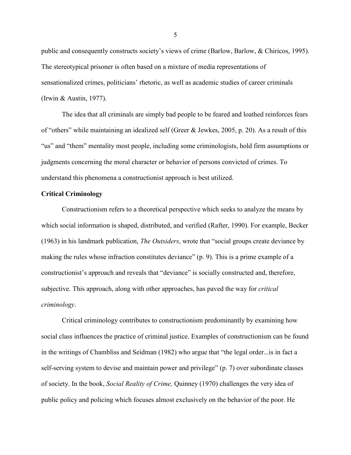public and consequently constructs society's views of crime (Barlow, Barlow, & Chiricos, 1995). The stereotypical prisoner is often based on a mixture of media representations of sensationalized crimes, politicians' rhetoric, as well as academic studies of career criminals (Irwin & Austin, 1977).

The idea that all criminals are simply bad people to be feared and loathed reinforces fears of "others" while maintaining an idealized self (Greer & Jewkes, 2005, p. 20). As a result of this "us" and "them" mentality most people, including some criminologists, hold firm assumptions or judgments concerning the moral character or behavior of persons convicted of crimes. To understand this phenomena a constructionist approach is best utilized.

#### <span id="page-12-0"></span>**Critical Criminology**

Constructionism refers to a theoretical perspective which seeks to analyze the means by which social information is shaped, distributed, and verified (Rafter, 1990). For example, Becker (1963) in his landmark publication, *The Outsiders*, wrote that "social groups create deviance by making the rules whose infraction constitutes deviance" (p. 9). This is a prime example of a constructionist's approach and reveals that "deviance" is socially constructed and, therefore, subjective. This approach, along with other approaches, has paved the way for *critical criminology*.

Critical criminology contributes to constructionism predominantly by examining how social class influences the practice of criminal justice. Examples of constructionism can be found in the writings of Chambliss and Seidman (1982) who argue that "the legal order...is in fact a self-serving system to devise and maintain power and privilege" (p. 7) over subordinate classes of society. In the book, *Social Reality of Crime,* Quinney (1970) challenges the very idea of public policy and policing which focuses almost exclusively on the behavior of the poor. He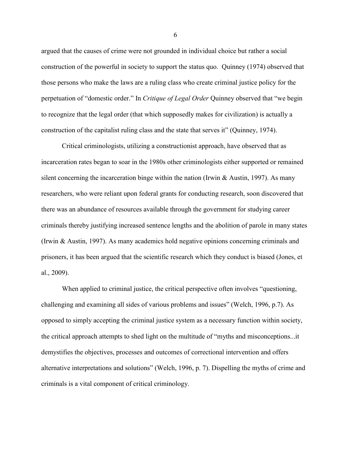argued that the causes of crime were not grounded in individual choice but rather a social construction of the powerful in society to support the status quo. Quinney (1974) observed that those persons who make the laws are a ruling class who create criminal justice policy for the perpetuation of "domestic order." In *Critique of Legal Order* Quinney observed that "we begin to recognize that the legal order (that which supposedly makes for civilization) is actually a construction of the capitalist ruling class and the state that serves it" (Quinney, 1974).

Critical criminologists, utilizing a constructionist approach, have observed that as incarceration rates began to soar in the 1980s other criminologists either supported or remained silent concerning the incarceration binge within the nation (Irwin  $&$  Austin, 1997). As many researchers, who were reliant upon federal grants for conducting research, soon discovered that there was an abundance of resources available through the government for studying career criminals thereby justifying increased sentence lengths and the abolition of parole in many states (Irwin & Austin, 1997). As many academics hold negative opinions concerning criminals and prisoners, it has been argued that the scientific research which they conduct is biased (Jones, et al., 2009).

When applied to criminal justice, the critical perspective often involves "questioning, challenging and examining all sides of various problems and issues" (Welch, 1996, p.7). As opposed to simply accepting the criminal justice system as a necessary function within society, the critical approach attempts to shed light on the multitude of "myths and misconceptions...it demystifies the objectives, processes and outcomes of correctional intervention and offers alternative interpretations and solutions" (Welch, 1996, p. 7). Dispelling the myths of crime and criminals is a vital component of critical criminology.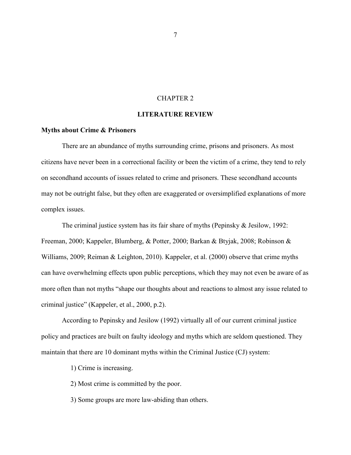# CHAPTER 2

# **LITERATURE REVIEW**

#### <span id="page-14-1"></span><span id="page-14-0"></span>**Myths about Crime & Prisoners**

There are an abundance of myths surrounding crime, prisons and prisoners. As most citizens have never been in a correctional facility or been the victim of a crime, they tend to rely on secondhand accounts of issues related to crime and prisoners. These secondhand accounts may not be outright false, but they often are exaggerated or oversimplified explanations of more complex issues.

The criminal justice system has its fair share of myths (Pepinsky & Jesilow, 1992: Freeman, 2000; Kappeler, Blumberg, & Potter, 2000; Barkan & Btyjak, 2008; Robinson & Williams, 2009; Reiman & Leighton, 2010). Kappeler, et al. (2000) observe that crime myths can have overwhelming effects upon public perceptions, which they may not even be aware of as more often than not myths "shape our thoughts about and reactions to almost any issue related to criminal justice" (Kappeler, et al., 2000, p.2).

According to Pepinsky and Jesilow (1992) virtually all of our current criminal justice policy and practices are built on faulty ideology and myths which are seldom questioned. They maintain that there are 10 dominant myths within the Criminal Justice (CJ) system:

1) Crime is increasing.

2) Most crime is committed by the poor.

3) Some groups are more law-abiding than others.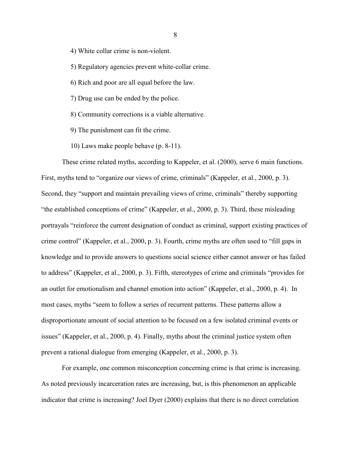4) White collar crime is non-violent.

5) Regulatory agencies prevent white-collar crime.

- 6) Rich and poor are all equal before the law.
- 7) Drug use can be ended by the police.
- 8) Community corrections is a viable alternative.
- 9) The punishment can fit the crime.
- 10) Laws make people behave (p. 8-11).

These crime related myths, according to Kappeler, et al. (2000), serve 6 main functions. First, myths tend to "organize our views of crime, criminals" (Kappeler, et al., 2000, p. 3). Second, they "support and maintain prevailing views of crime, criminals" thereby supporting "the established conceptions of crime" (Kappeler, et al., 2000, p. 3). Third, these misleading portrayals "reinforce the current designation of conduct as criminal, support existing practices of crime control" (Kappeler, et al., 2000, p. 3). Fourth, crime myths are often used to "fill gaps in knowledge and to provide answers to questions social science either cannot answer or has failed to address" (Kappeler, et al., 2000, p. 3). Fifth, stereotypes of crime and criminals "provides for an outlet for emotionalism and channel emotion into action" (Kappeler, et al., 2000, p. 4). In most cases, myths "seem to follow a series of recurrent patterns. These patterns allow a disproportionate amount of social attention to be focused on a few isolated criminal events or issues" (Kappeler, et al., 2000, p. 4). Finally, myths about the criminal justice system often prevent a rational dialogue from emerging (Kappeler, et al., 2000, p. 3).

For example, one common misconception concerning crime is that crime is increasing. As noted previously incarceration rates are increasing, but, is this phenomenon an applicable indicator that crime is increasing? Joel Dyer (2000) explains that there is no direct correlation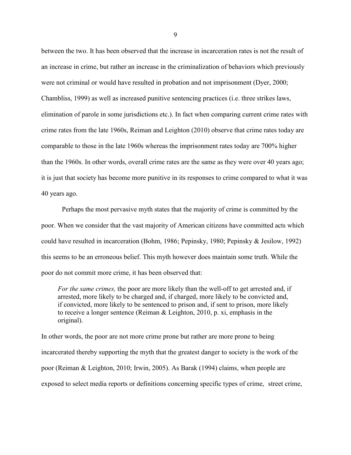between the two. It has been observed that the increase in incarceration rates is not the result of an increase in crime, but rather an increase in the criminalization of behaviors which previously were not criminal or would have resulted in probation and not imprisonment (Dyer, 2000; Chambliss, 1999) as well as increased punitive sentencing practices (i.e. three strikes laws, elimination of parole in some jurisdictions etc.). In fact when comparing current crime rates with crime rates from the late 1960s, Reiman and Leighton (2010) observe that crime rates today are comparable to those in the late 1960s whereas the imprisonment rates today are 700% higher than the 1960s. In other words, overall crime rates are the same as they were over 40 years ago; it is just that society has become more punitive in its responses to crime compared to what it was 40 years ago.

Perhaps the most pervasive myth states that the majority of crime is committed by the poor. When we consider that the vast majority of American citizens have committed acts which could have resulted in incarceration (Bohm, 1986; Pepinsky, 1980; Pepinsky & Jesilow, 1992) this seems to be an erroneous belief. This myth however does maintain some truth. While the poor do not commit more crime, it has been observed that:

*For the same crimes,* the poor are more likely than the well-off to get arrested and, if arrested, more likely to be charged and, if charged, more likely to be convicted and, if convicted, more likely to be sentenced to prison and, if sent to prison, more likely to receive a longer sentence (Reiman & Leighton, 2010, p. xi, emphasis in the original).

In other words, the poor are not more crime prone but rather are more prone to being incarcerated thereby supporting the myth that the greatest danger to society is the work of the poor (Reiman & Leighton, 2010; Irwin, 2005). As Barak (1994) claims, when people are exposed to select media reports or definitions concerning specific types of crime, street crime,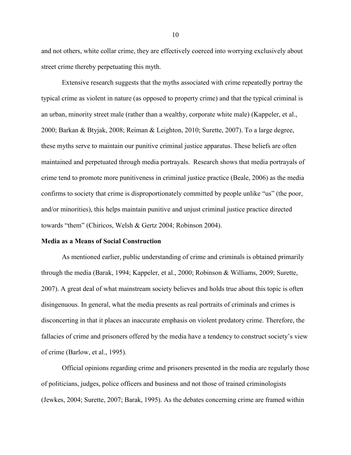and not others, white collar crime, they are effectively coerced into worrying exclusively about street crime thereby perpetuating this myth.

Extensive research suggests that the myths associated with crime repeatedly portray the typical crime as violent in nature (as opposed to property crime) and that the typical criminal is an urban, minority street male (rather than a wealthy, corporate white male) (Kappeler, et al., 2000; Barkan & Btyjak, 2008; Reiman & Leighton, 2010; Surette, 2007). To a large degree, these myths serve to maintain our punitive criminal justice apparatus. These beliefs are often maintained and perpetuated through media portrayals. Research shows that media portrayals of crime tend to promote more punitiveness in criminal justice practice (Beale, 2006) as the media confirms to society that crime is disproportionately committed by people unlike "us" (the poor, and/or minorities), this helps maintain punitive and unjust criminal justice practice directed towards "them" (Chiricos, Welsh & Gertz 2004; Robinson 2004).

#### <span id="page-17-0"></span>**Media as a Means of Social Construction**

As mentioned earlier, public understanding of crime and criminals is obtained primarily through the media (Barak, 1994; Kappeler, et al., 2000; Robinson & Williams, 2009; Surette, 2007). A great deal of what mainstream society believes and holds true about this topic is often disingenuous. In general, what the media presents as real portraits of criminals and crimes is disconcerting in that it places an inaccurate emphasis on violent predatory crime. Therefore, the fallacies of crime and prisoners offered by the media have a tendency to construct society's view of crime (Barlow, et al., 1995).

Official opinions regarding crime and prisoners presented in the media are regularly those of politicians, judges, police officers and business and not those of trained criminologists (Jewkes, 2004; Surette, 2007; Barak, 1995). As the debates concerning crime are framed within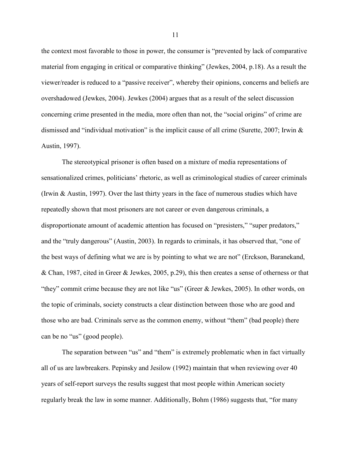the context most favorable to those in power, the consumer is "prevented by lack of comparative material from engaging in critical or comparative thinking" (Jewkes, 2004, p.18). As a result the viewer/reader is reduced to a "passive receiver", whereby their opinions, concerns and beliefs are overshadowed (Jewkes, 2004). Jewkes (2004) argues that as a result of the select discussion concerning crime presented in the media, more often than not, the "social origins" of crime are dismissed and "individual motivation" is the implicit cause of all crime (Surette, 2007; Irwin & Austin, 1997).

The stereotypical prisoner is often based on a mixture of media representations of sensationalized crimes, politicians' rhetoric, as well as criminological studies of career criminals (Irwin & Austin, 1997). Over the last thirty years in the face of numerous studies which have repeatedly shown that most prisoners are not career or even dangerous criminals, a disproportionate amount of academic attention has focused on "presisters," "super predators," and the "truly dangerous" (Austin, 2003). In regards to criminals, it has observed that, "one of the best ways of defining what we are is by pointing to what we are not" (Erckson, Baranekand, & Chan, 1987, cited in Greer & Jewkes, 2005, p.29), this then creates a sense of otherness or that "they" commit crime because they are not like "us" (Greer & Jewkes, 2005). In other words, on the topic of criminals, society constructs a clear distinction between those who are good and those who are bad. Criminals serve as the common enemy, without "them" (bad people) there can be no "us" (good people).

The separation between "us" and "them" is extremely problematic when in fact virtually all of us are lawbreakers. Pepinsky and Jesilow (1992) maintain that when reviewing over 40 years of self-report surveys the results suggest that most people within American society regularly break the law in some manner. Additionally, Bohm (1986) suggests that, "for many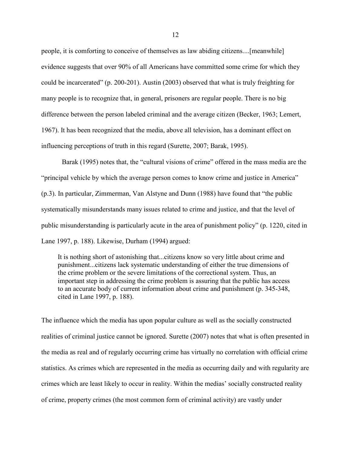people, it is comforting to conceive of themselves as law abiding citizens....[meanwhile] evidence suggests that over 90% of all Americans have committed some crime for which they could be incarcerated" (p. 200-201). Austin (2003) observed that what is truly freighting for many people is to recognize that, in general, prisoners are regular people. There is no big difference between the person labeled criminal and the average citizen (Becker, 1963; Lemert, 1967). It has been recognized that the media, above all television, has a dominant effect on influencing perceptions of truth in this regard (Surette, 2007; Barak, 1995).

Barak (1995) notes that, the "cultural visions of crime" offered in the mass media are the "principal vehicle by which the average person comes to know crime and justice in America" (p.3). In particular, Zimmerman, Van Alstyne and Dunn (1988) have found that "the public systematically misunderstands many issues related to crime and justice, and that the level of public misunderstanding is particularly acute in the area of punishment policy" (p. 1220, cited in Lane 1997, p. 188). Likewise, Durham (1994) argued:

It is nothing short of astonishing that...citizens know so very little about crime and punishment...citizens lack systematic understanding of either the true dimensions of the crime problem or the severe limitations of the correctional system. Thus, an important step in addressing the crime problem is assuring that the public has access to an accurate body of current information about crime and punishment (p. 345-348, cited in Lane 1997, p. 188).

The influence which the media has upon popular culture as well as the socially constructed realities of criminal justice cannot be ignored. Surette (2007) notes that what is often presented in the media as real and of regularly occurring crime has virtually no correlation with official crime statistics. As crimes which are represented in the media as occurring daily and with regularity are crimes which are least likely to occur in reality. Within the medias' socially constructed reality of crime, property crimes (the most common form of criminal activity) are vastly under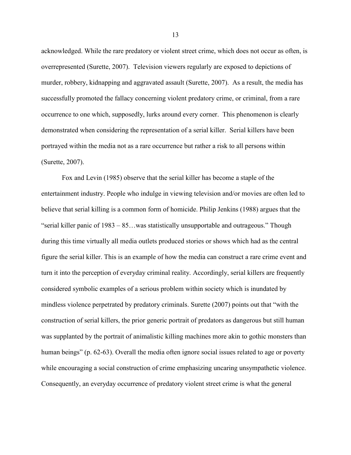acknowledged. While the rare predatory or violent street crime, which does not occur as often, is overrepresented (Surette, 2007). Television viewers regularly are exposed to depictions of murder, robbery, kidnapping and aggravated assault (Surette, 2007). As a result, the media has successfully promoted the fallacy concerning violent predatory crime, or criminal, from a rare occurrence to one which, supposedly, lurks around every corner. This phenomenon is clearly demonstrated when considering the representation of a serial killer. Serial killers have been portrayed within the media not as a rare occurrence but rather a risk to all persons within (Surette, 2007).

Fox and Levin (1985) observe that the serial killer has become a staple of the entertainment industry. People who indulge in viewing television and/or movies are often led to believe that serial killing is a common form of homicide. Philip Jenkins (1988) argues that the "serial killer panic of 1983 – 85…was statistically unsupportable and outrageous." Though during this time virtually all media outlets produced stories or shows which had as the central figure the serial killer. This is an example of how the media can construct a rare crime event and turn it into the perception of everyday criminal reality. Accordingly, serial killers are frequently considered symbolic examples of a serious problem within society which is inundated by mindless violence perpetrated by predatory criminals. Surette (2007) points out that "with the construction of serial killers, the prior generic portrait of predators as dangerous but still human was supplanted by the portrait of animalistic killing machines more akin to gothic monsters than human beings" (p. 62-63). Overall the media often ignore social issues related to age or poverty while encouraging a social construction of crime emphasizing uncaring unsympathetic violence. Consequently, an everyday occurrence of predatory violent street crime is what the general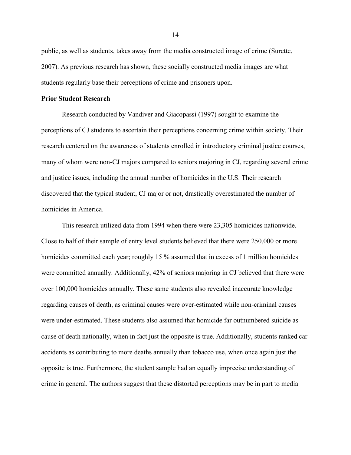public, as well as students, takes away from the media constructed image of crime (Surette, 2007). As previous research has shown, these socially constructed media images are what students regularly base their perceptions of crime and prisoners upon.

#### <span id="page-21-0"></span>**Prior Student Research**

Research conducted by Vandiver and Giacopassi (1997) sought to examine the perceptions of CJ students to ascertain their perceptions concerning crime within society. Their research centered on the awareness of students enrolled in introductory criminal justice courses, many of whom were non-CJ majors compared to seniors majoring in CJ, regarding several crime and justice issues, including the annual number of homicides in the U.S. Their research discovered that the typical student, CJ major or not, drastically overestimated the number of homicides in America.

This research utilized data from 1994 when there were 23,305 homicides nationwide. Close to half of their sample of entry level students believed that there were 250,000 or more homicides committed each year; roughly 15 % assumed that in excess of 1 million homicides were committed annually. Additionally, 42% of seniors majoring in CJ believed that there were over 100,000 homicides annually. These same students also revealed inaccurate knowledge regarding causes of death, as criminal causes were over-estimated while non-criminal causes were under-estimated. These students also assumed that homicide far outnumbered suicide as cause of death nationally, when in fact just the opposite is true. Additionally, students ranked car accidents as contributing to more deaths annually than tobacco use, when once again just the opposite is true. Furthermore, the student sample had an equally imprecise understanding of crime in general. The authors suggest that these distorted perceptions may be in part to media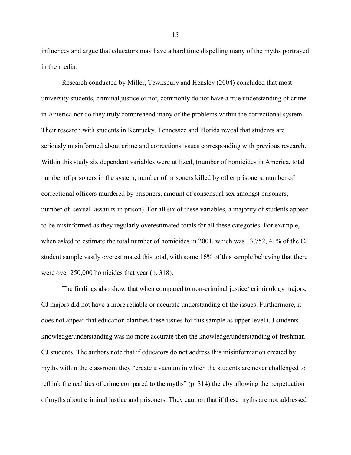influences and argue that educators may have a hard time dispelling many of the myths portrayed in the media.

Research conducted by Miller, Tewksbury and Hensley (2004) concluded that most university students, criminal justice or not, commonly do not have a true understanding of crime in America nor do they truly comprehend many of the problems within the correctional system. Their research with students in Kentucky, Tennessee and Florida reveal that students are seriously misinformed about crime and corrections issues corresponding with previous research. Within this study six dependent variables were utilized, (number of homicides in America, total number of prisoners in the system, number of prisoners killed by other prisoners, number of correctional officers murdered by prisoners, amount of consensual sex amongst prisoners, number of sexual assaults in prison). For all six of these variables, a majority of students appear to be misinformed as they regularly overestimated totals for all these categories. For example, when asked to estimate the total number of homicides in 2001, which was 13,752, 41% of the CJ student sample vastly overestimated this total, with some 16% of this sample believing that there were over 250,000 homicides that year (p. 318).

The findings also show that when compared to non-criminal justice/ criminology majors, CJ majors did not have a more reliable or accurate understanding of the issues. Furthermore, it does not appear that education clarifies these issues for this sample as upper level CJ students knowledge/understanding was no more accurate then the knowledge/understanding of freshman CJ students. The authors note that if educators do not address this misinformation created by myths within the classroom they "create a vacuum in which the students are never challenged to rethink the realities of crime compared to the myths" (p. 314) thereby allowing the perpetuation of myths about criminal justice and prisoners. They caution that if these myths are not addressed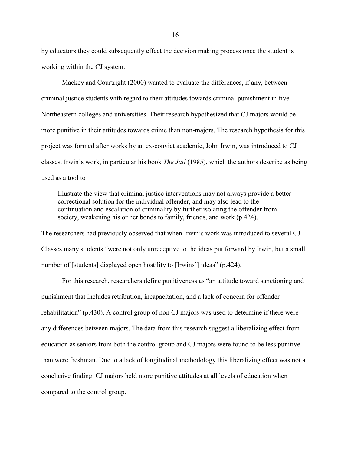by educators they could subsequently effect the decision making process once the student is working within the CJ system.

Mackey and Courtright (2000) wanted to evaluate the differences, if any, between criminal justice students with regard to their attitudes towards criminal punishment in five Northeastern colleges and universities. Their research hypothesized that CJ majors would be more punitive in their attitudes towards crime than non-majors. The research hypothesis for this project was formed after works by an ex-convict academic, John Irwin, was introduced to CJ classes. Irwin's work, in particular his book *The Jail* (1985), which the authors describe as being used as a tool to

Illustrate the view that criminal justice interventions may not always provide a better correctional solution for the individual offender, and may also lead to the continuation and escalation of criminality by further isolating the offender from society, weakening his or her bonds to family, friends, and work (p.424).

The researchers had previously observed that when Irwin's work was introduced to several CJ Classes many students "were not only unreceptive to the ideas put forward by Irwin, but a small number of [students] displayed open hostility to [Irwins'] ideas" (p.424).

For this research, researchers define punitiveness as "an attitude toward sanctioning and punishment that includes retribution, incapacitation, and a lack of concern for offender rehabilitation" (p.430). A control group of non CJ majors was used to determine if there were any differences between majors. The data from this research suggest a liberalizing effect from education as seniors from both the control group and CJ majors were found to be less punitive than were freshman. Due to a lack of longitudinal methodology this liberalizing effect was not a conclusive finding. CJ majors held more punitive attitudes at all levels of education when compared to the control group.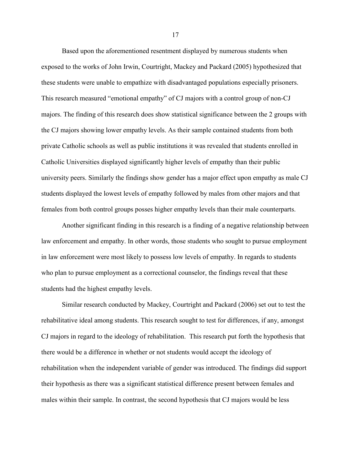Based upon the aforementioned resentment displayed by numerous students when exposed to the works of John Irwin, Courtright, Mackey and Packard (2005) hypothesized that these students were unable to empathize with disadvantaged populations especially prisoners. This research measured "emotional empathy" of CJ majors with a control group of non-CJ majors. The finding of this research does show statistical significance between the 2 groups with the CJ majors showing lower empathy levels. As their sample contained students from both private Catholic schools as well as public institutions it was revealed that students enrolled in Catholic Universities displayed significantly higher levels of empathy than their public university peers. Similarly the findings show gender has a major effect upon empathy as male CJ students displayed the lowest levels of empathy followed by males from other majors and that females from both control groups posses higher empathy levels than their male counterparts.

Another significant finding in this research is a finding of a negative relationship between law enforcement and empathy. In other words, those students who sought to pursue employment in law enforcement were most likely to possess low levels of empathy. In regards to students who plan to pursue employment as a correctional counselor, the findings reveal that these students had the highest empathy levels.

Similar research conducted by Mackey, Courtright and Packard (2006) set out to test the rehabilitative ideal among students. This research sought to test for differences, if any, amongst CJ majors in regard to the ideology of rehabilitation. This research put forth the hypothesis that there would be a difference in whether or not students would accept the ideology of rehabilitation when the independent variable of gender was introduced. The findings did support their hypothesis as there was a significant statistical difference present between females and males within their sample. In contrast, the second hypothesis that CJ majors would be less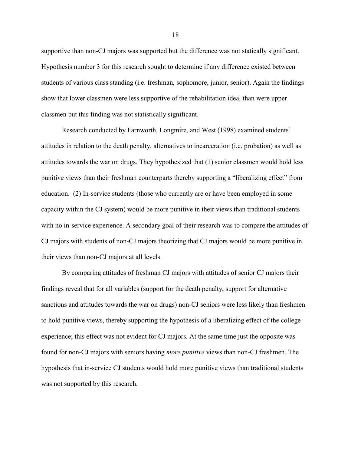supportive than non-CJ majors was supported but the difference was not statically significant. Hypothesis number 3 for this research sought to determine if any difference existed between students of various class standing (i.e. freshman, sophomore, junior, senior). Again the findings show that lower classmen were less supportive of the rehabilitation ideal than were upper classmen but this finding was not statistically significant.

Research conducted by Farnworth, Longmire, and West (1998) examined students' attitudes in relation to the death penalty, alternatives to incarceration (i.e. probation) as well as attitudes towards the war on drugs. They hypothesized that (1) senior classmen would hold less punitive views than their freshman counterparts thereby supporting a "liberalizing effect" from education. (2) In-service students (those who currently are or have been employed in some capacity within the CJ system) would be more punitive in their views than traditional students with no in-service experience. A secondary goal of their research was to compare the attitudes of CJ majors with students of non-CJ majors theorizing that CJ majors would be more punitive in their views than non-CJ majors at all levels.

By comparing attitudes of freshman CJ majors with attitudes of senior CJ majors their findings reveal that for all variables (support for the death penalty, support for alternative sanctions and attitudes towards the war on drugs) non-CJ seniors were less likely than freshmen to hold punitive views, thereby supporting the hypothesis of a liberalizing effect of the college experience; this effect was not evident for CJ majors. At the same time just the opposite was found for non-CJ majors with seniors having *more punitive* views than non-CJ freshmen. The hypothesis that in-service CJ students would hold more punitive views than traditional students was not supported by this research.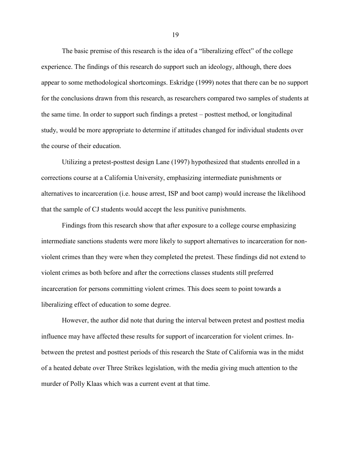The basic premise of this research is the idea of a "liberalizing effect" of the college experience. The findings of this research do support such an ideology, although, there does appear to some methodological shortcomings. Eskridge (1999) notes that there can be no support for the conclusions drawn from this research, as researchers compared two samples of students at the same time. In order to support such findings a pretest – posttest method, or longitudinal study, would be more appropriate to determine if attitudes changed for individual students over the course of their education.

Utilizing a pretest-posttest design Lane (1997) hypothesized that students enrolled in a corrections course at a California University, emphasizing intermediate punishments or alternatives to incarceration (i.e. house arrest, ISP and boot camp) would increase the likelihood that the sample of CJ students would accept the less punitive punishments.

Findings from this research show that after exposure to a college course emphasizing intermediate sanctions students were more likely to support alternatives to incarceration for nonviolent crimes than they were when they completed the pretest. These findings did not extend to violent crimes as both before and after the corrections classes students still preferred incarceration for persons committing violent crimes. This does seem to point towards a liberalizing effect of education to some degree.

However, the author did note that during the interval between pretest and posttest media influence may have affected these results for support of incarceration for violent crimes. Inbetween the pretest and posttest periods of this research the State of California was in the midst of a heated debate over Three Strikes legislation, with the media giving much attention to the murder of Polly Klaas which was a current event at that time.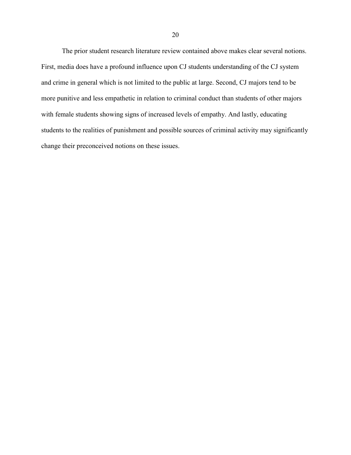The prior student research literature review contained above makes clear several notions. First, media does have a profound influence upon CJ students understanding of the CJ system and crime in general which is not limited to the public at large. Second, CJ majors tend to be more punitive and less empathetic in relation to criminal conduct than students of other majors with female students showing signs of increased levels of empathy. And lastly, educating students to the realities of punishment and possible sources of criminal activity may significantly change their preconceived notions on these issues.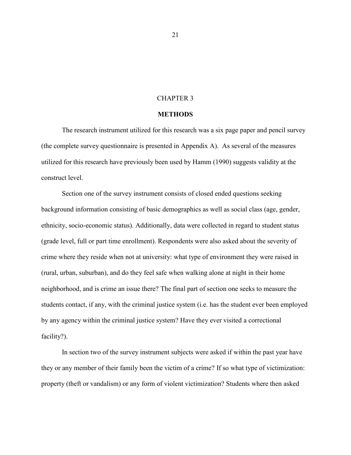## CHAPTER 3

#### **METHODS**

<span id="page-28-0"></span>The research instrument utilized for this research was a six page paper and pencil survey (the complete survey questionnaire is presented in Appendix A). As several of the measures utilized for this research have previously been used by Hamm (1990) suggests validity at the construct level.

Section one of the survey instrument consists of closed ended questions seeking background information consisting of basic demographics as well as social class (age, gender, ethnicity, socio-economic status). Additionally, data were collected in regard to student status (grade level, full or part time enrollment). Respondents were also asked about the severity of crime where they reside when not at university: what type of environment they were raised in (rural, urban, suburban), and do they feel safe when walking alone at night in their home neighborhood, and is crime an issue there? The final part of section one seeks to measure the students contact, if any, with the criminal justice system (i.e. has the student ever been employed by any agency within the criminal justice system? Have they ever visited a correctional facility?).

In section two of the survey instrument subjects were asked if within the past year have they or any member of their family been the victim of a crime? If so what type of victimization: property (theft or vandalism) or any form of violent victimization? Students where then asked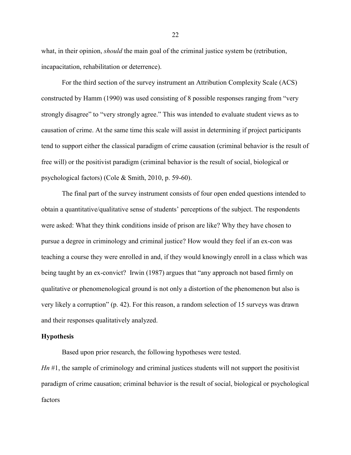what, in their opinion, *should* the main goal of the criminal justice system be (retribution, incapacitation, rehabilitation or deterrence).

For the third section of the survey instrument an Attribution Complexity Scale (ACS) constructed by Hamm (1990) was used consisting of 8 possible responses ranging from "very strongly disagree" to "very strongly agree." This was intended to evaluate student views as to causation of crime. At the same time this scale will assist in determining if project participants tend to support either the classical paradigm of crime causation (criminal behavior is the result of free will) or the positivist paradigm (criminal behavior is the result of social, biological or psychological factors) (Cole & Smith, 2010, p. 59-60).

The final part of the survey instrument consists of four open ended questions intended to obtain a quantitative/qualitative sense of students' perceptions of the subject. The respondents were asked: What they think conditions inside of prison are like? Why they have chosen to pursue a degree in criminology and criminal justice? How would they feel if an ex-con was teaching a course they were enrolled in and, if they would knowingly enroll in a class which was being taught by an ex-convict? Irwin (1987) argues that "any approach not based firmly on qualitative or phenomenological ground is not only a distortion of the phenomenon but also is very likely a corruption" (p. 42). For this reason, a random selection of 15 surveys was drawn and their responses qualitatively analyzed.

## **Hypothesis**

Based upon prior research, the following hypotheses were tested.

*Hn* #1, the sample of criminology and criminal justices students will not support the positivist paradigm of crime causation; criminal behavior is the result of social, biological or psychological factors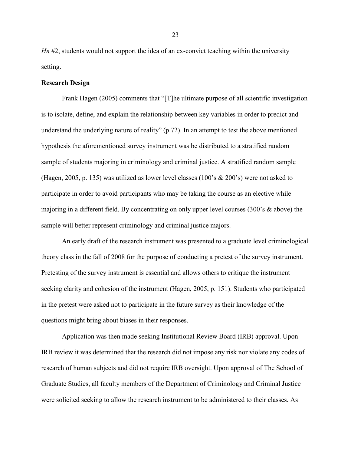*Hn* #2, students would not support the idea of an ex-convict teaching within the university setting.

# <span id="page-30-0"></span>**Research Design**

Frank Hagen (2005) comments that "[T]he ultimate purpose of all scientific investigation is to isolate, define, and explain the relationship between key variables in order to predict and understand the underlying nature of reality" (p.72). In an attempt to test the above mentioned hypothesis the aforementioned survey instrument was be distributed to a stratified random sample of students majoring in criminology and criminal justice. A stratified random sample (Hagen, 2005, p. 135) was utilized as lower level classes (100's & 200's) were not asked to participate in order to avoid participants who may be taking the course as an elective while majoring in a different field. By concentrating on only upper level courses (300's & above) the sample will better represent criminology and criminal justice majors.

An early draft of the research instrument was presented to a graduate level criminological theory class in the fall of 2008 for the purpose of conducting a pretest of the survey instrument. Pretesting of the survey instrument is essential and allows others to critique the instrument seeking clarity and cohesion of the instrument (Hagen, 2005, p. 151). Students who participated in the pretest were asked not to participate in the future survey as their knowledge of the questions might bring about biases in their responses.

Application was then made seeking Institutional Review Board (IRB) approval. Upon IRB review it was determined that the research did not impose any risk nor violate any codes of research of human subjects and did not require IRB oversight. Upon approval of The School of Graduate Studies, all faculty members of the Department of Criminology and Criminal Justice were solicited seeking to allow the research instrument to be administered to their classes. As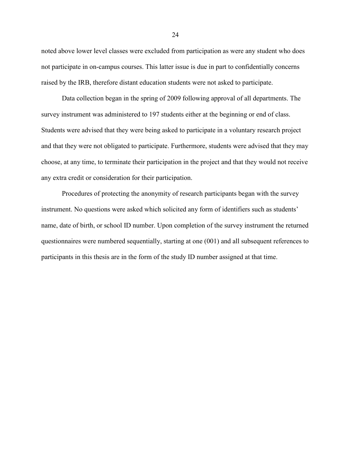noted above lower level classes were excluded from participation as were any student who does not participate in on-campus courses. This latter issue is due in part to confidentially concerns raised by the IRB, therefore distant education students were not asked to participate.

Data collection began in the spring of 2009 following approval of all departments. The survey instrument was administered to 197 students either at the beginning or end of class. Students were advised that they were being asked to participate in a voluntary research project and that they were not obligated to participate. Furthermore, students were advised that they may choose, at any time, to terminate their participation in the project and that they would not receive any extra credit or consideration for their participation.

Procedures of protecting the anonymity of research participants began with the survey instrument. No questions were asked which solicited any form of identifiers such as students' name, date of birth, or school ID number. Upon completion of the survey instrument the returned questionnaires were numbered sequentially, starting at one (001) and all subsequent references to participants in this thesis are in the form of the study ID number assigned at that time.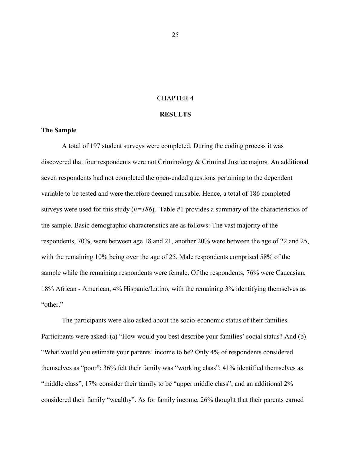# CHAPTER 4

#### **RESULTS**

#### <span id="page-32-1"></span><span id="page-32-0"></span>**The Sample**

A total of 197 student surveys were completed. During the coding process it was discovered that four respondents were not Criminology & Criminal Justice majors. An additional seven respondents had not completed the open-ended questions pertaining to the dependent variable to be tested and were therefore deemed unusable. Hence, a total of 186 completed surveys were used for this study  $(n=186)$ . Table #1 provides a summary of the characteristics of the sample. Basic demographic characteristics are as follows: The vast majority of the respondents, 70%, were between age 18 and 21, another 20% were between the age of 22 and 25, with the remaining 10% being over the age of 25. Male respondents comprised 58% of the sample while the remaining respondents were female. Of the respondents, 76% were Caucasian, 18% African - American, 4% Hispanic/Latino, with the remaining 3% identifying themselves as "other"

The participants were also asked about the socio-economic status of their families. Participants were asked: (a) "How would you best describe your families' social status? And (b) "What would you estimate your parents' income to be? Only 4% of respondents considered themselves as "poor"; 36% felt their family was "working class"; 41% identified themselves as "middle class", 17% consider their family to be "upper middle class"; and an additional 2% considered their family "wealthy". As for family income, 26% thought that their parents earned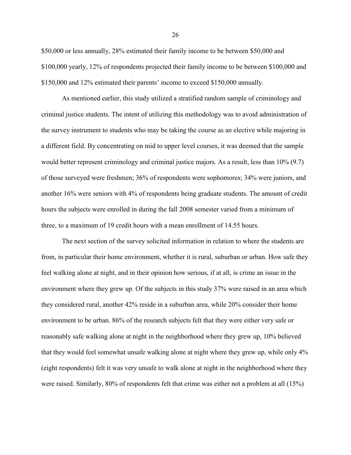\$50,000 or less annually, 28% estimated their family income to be between \$50,000 and \$100,000 yearly, 12% of respondents projected their family income to be between \$100,000 and \$150,000 and 12% estimated their parents' income to exceed \$150,000 annually.

As mentioned earlier, this study utilized a stratified random sample of criminology and criminal justice students. The intent of utilizing this methodology was to avoid administration of the survey instrument to students who may be taking the course as an elective while majoring in a different field. By concentrating on mid to upper level courses, it was deemed that the sample would better represent criminology and criminal justice majors. As a result, less than 10% (9.7) of those surveyed were freshmen; 36% of respondents were sophomores; 34% were juniors, and another 16% were seniors with 4% of respondents being graduate students. The amount of credit hours the subjects were enrolled in during the fall 2008 semester varied from a minimum of three, to a maximum of 19 credit hours with a mean enrollment of 14.55 hours.

The next section of the survey solicited information in relation to where the students are from, in particular their home environment, whether it is rural, suburban or urban. How safe they feel walking alone at night, and in their opinion how serious, if at all, is crime an issue in the environment where they grew up. Of the subjects in this study 37% were raised in an area which they considered rural, another 42% reside in a suburban area, while 20% consider their home environment to be urban. 86% of the research subjects felt that they were either very safe or reasonably safe walking alone at night in the neighborhood where they grew up, 10% believed that they would feel somewhat unsafe walking alone at night where they grew up, while only 4% (eight respondents) felt it was very unsafe to walk alone at night in the neighborhood where they were raised. Similarly, 80% of respondents felt that crime was either not a problem at all (15%)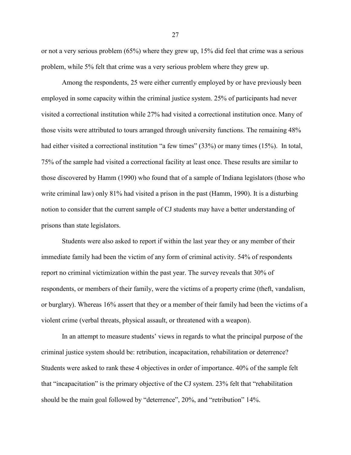or not a very serious problem (65%) where they grew up, 15% did feel that crime was a serious problem, while 5% felt that crime was a very serious problem where they grew up.

Among the respondents, 25 were either currently employed by or have previously been employed in some capacity within the criminal justice system. 25% of participants had never visited a correctional institution while 27% had visited a correctional institution once. Many of those visits were attributed to tours arranged through university functions. The remaining 48% had either visited a correctional institution "a few times" (33%) or many times (15%). In total, 75% of the sample had visited a correctional facility at least once. These results are similar to those discovered by Hamm (1990) who found that of a sample of Indiana legislators (those who write criminal law) only 81% had visited a prison in the past (Hamm, 1990). It is a disturbing notion to consider that the current sample of CJ students may have a better understanding of prisons than state legislators.

Students were also asked to report if within the last year they or any member of their immediate family had been the victim of any form of criminal activity. 54% of respondents report no criminal victimization within the past year. The survey reveals that 30% of respondents, or members of their family, were the victims of a property crime (theft, vandalism, or burglary). Whereas 16% assert that they or a member of their family had been the victims of a violent crime (verbal threats, physical assault, or threatened with a weapon).

In an attempt to measure students' views in regards to what the principal purpose of the criminal justice system should be: retribution, incapacitation, rehabilitation or deterrence? Students were asked to rank these 4 objectives in order of importance. 40% of the sample felt that "incapacitation" is the primary objective of the CJ system. 23% felt that "rehabilitation should be the main goal followed by "deterrence", 20%, and "retribution" 14%.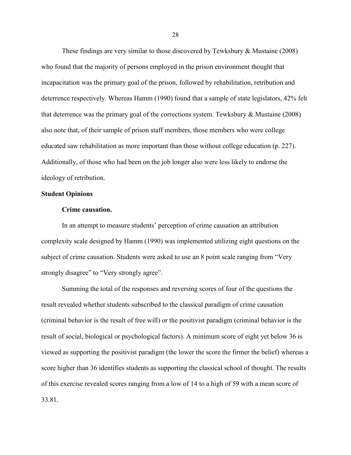These findings are very similar to those discovered by Tewksbury & Mustaine (2008) who found that the majority of persons employed in the prison environment thought that incapacitation was the primary goal of the prison, followed by rehabilitation, retribution and deterrence respectively. Whereas Hamm (1990) found that a sample of state legislators, 42% felt that deterrence was the primary goal of the corrections system. Tewksbury & Mustaine (2008) also note that, of their sample of prison staff members, those members who were college educated saw rehabilitation as more important than those without college education (p. 227). Additionally, of those who had been on the job longer also were less likely to endorse the ideology of retribution.

## <span id="page-35-0"></span>**Student Opinions**

#### <span id="page-35-1"></span>**Crime causation.**

In an attempt to measure students' perception of crime causation an attribution complexity scale designed by Hamm (1990) was implemented utilizing eight questions on the subject of crime causation. Students were asked to use an 8 point scale ranging from "Very strongly disagree" to "Very strongly agree".

Summing the total of the responses and reversing scores of four of the questions the result revealed whether students subscribed to the classical paradigm of crime causation (criminal behavior is the result of free will) or the positivist paradigm (criminal behavior is the result of social, biological or psychological factors). A minimum score of eight yet below 36 is viewed as supporting the positivist paradigm (the lower the score the firmer the belief) whereas a score higher than 36 identifies students as supporting the classical school of thought. The results of this exercise revealed scores ranging from a low of 14 to a high of 59 with a mean score of 33.81.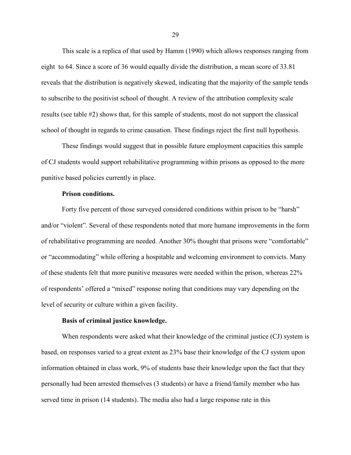This scale is a replica of that used by Hamm (1990) which allows responses ranging from eight to 64. Since a score of 36 would equally divide the distribution, a mean score of 33.81 reveals that the distribution is negatively skewed, indicating that the majority of the sample tends to subscribe to the positivist school of thought. A review of the attribution complexity scale results (see table #2) shows that, for this sample of students, most do not support the classical school of thought in regards to crime causation. These findings reject the first null hypothesis.

These findings would suggest that in possible future employment capacities this sample of CJ students would support rehabilitative programming within prisons as opposed to the more punitive based policies currently in place.

# <span id="page-36-0"></span>**Prison conditions.**

Forty five percent of those surveyed considered conditions within prison to be "harsh" and/or "violent". Several of these respondents noted that more humane improvements in the form of rehabilitative programming are needed. Another 30% thought that prisons were "comfortable" or "accommodating" while offering a hospitable and welcoming environment to convicts. Many of these students felt that more punitive measures were needed within the prison, whereas 22% of respondents' offered a "mixed" response noting that conditions may vary depending on the level of security or culture within a given facility.

### <span id="page-36-1"></span>**Basis of criminal justice knowledge.**

When respondents were asked what their knowledge of the criminal justice (CJ) system is based, on responses varied to a great extent as 23% base their knowledge of the CJ system upon information obtained in class work, 9% of students base their knowledge upon the fact that they personally had been arrested themselves (3 students) or have a friend/family member who has served time in prison (14 students). The media also had a large response rate in this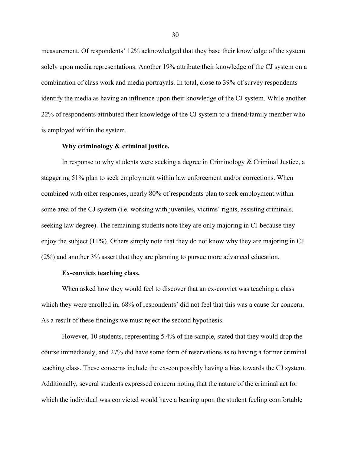measurement. Of respondents' 12% acknowledged that they base their knowledge of the system solely upon media representations. Another 19% attribute their knowledge of the CJ system on a combination of class work and media portrayals. In total, close to 39% of survey respondents identify the media as having an influence upon their knowledge of the CJ system. While another 22% of respondents attributed their knowledge of the CJ system to a friend/family member who is employed within the system.

#### <span id="page-37-0"></span>**Why criminology & criminal justice.**

In response to why students were seeking a degree in Criminology & Criminal Justice, a staggering 51% plan to seek employment within law enforcement and/or corrections. When combined with other responses, nearly 80% of respondents plan to seek employment within some area of the CJ system (i.e. working with juveniles, victims' rights, assisting criminals, seeking law degree). The remaining students note they are only majoring in CJ because they enjoy the subject (11%). Others simply note that they do not know why they are majoring in CJ (2%) and another 3% assert that they are planning to pursue more advanced education.

#### <span id="page-37-1"></span>**Ex-convicts teaching class.**

When asked how they would feel to discover that an ex-convict was teaching a class which they were enrolled in,  $68\%$  of respondents' did not feel that this was a cause for concern. As a result of these findings we must reject the second hypothesis.

However, 10 students, representing 5.4% of the sample, stated that they would drop the course immediately, and 27% did have some form of reservations as to having a former criminal teaching class. These concerns include the ex-con possibly having a bias towards the CJ system. Additionally, several students expressed concern noting that the nature of the criminal act for which the individual was convicted would have a bearing upon the student feeling comfortable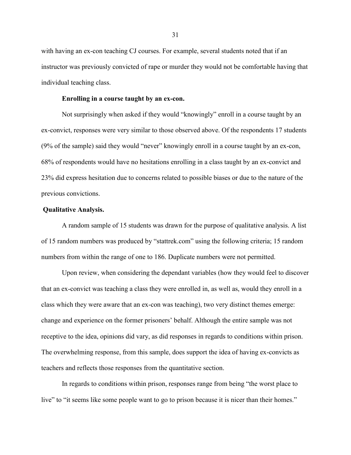with having an ex-con teaching CJ courses. For example, several students noted that if an instructor was previously convicted of rape or murder they would not be comfortable having that individual teaching class.

# <span id="page-38-0"></span>**Enrolling in a course taught by an ex-con.**

Not surprisingly when asked if they would "knowingly" enroll in a course taught by an ex-convict, responses were very similar to those observed above. Of the respondents 17 students (9% of the sample) said they would "never" knowingly enroll in a course taught by an ex-con, 68% of respondents would have no hesitations enrolling in a class taught by an ex-convict and 23% did express hesitation due to concerns related to possible biases or due to the nature of the previous convictions.

#### <span id="page-38-1"></span>**Qualitative Analysis.**

A random sample of 15 students was drawn for the purpose of qualitative analysis. A list of 15 random numbers was produced by "stattrek.com" using the following criteria; 15 random numbers from within the range of one to 186. Duplicate numbers were not permitted.

Upon review, when considering the dependant variables (how they would feel to discover that an ex-convict was teaching a class they were enrolled in, as well as, would they enroll in a class which they were aware that an ex-con was teaching), two very distinct themes emerge: change and experience on the former prisoners' behalf. Although the entire sample was not receptive to the idea, opinions did vary, as did responses in regards to conditions within prison. The overwhelming response, from this sample, does support the idea of having ex-convicts as teachers and reflects those responses from the quantitative section.

In regards to conditions within prison, responses range from being "the worst place to live" to "it seems like some people want to go to prison because it is nicer than their homes."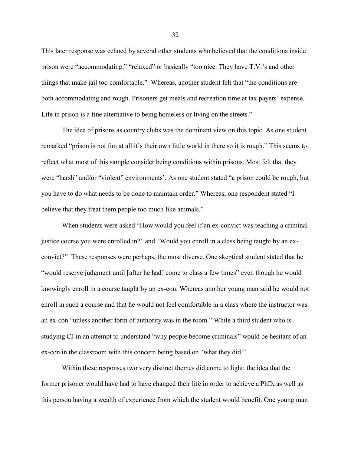This later response was echoed by several other students who believed that the conditions inside prison were "accommodating," "relaxed" or basically "too nice. They have T.V.'s and other things that make jail too comfortable." Whereas, another student felt that "the conditions are both accommodating and rough. Prisoners get meals and recreation time at tax payers' expense. Life in prison is a fine alternative to being homeless or living on the streets."

The idea of prisons as country clubs was the dominant view on this topic. As one student remarked "prison is not fun at all it's their own little world in there so it is rough." This seems to reflect what most of this sample consider being conditions within prisons. Most felt that they were "harsh" and/or "violent" environments'. As one student stated "a prison could be rough, but you have to do what needs to be done to maintain order." Whereas, one respondent stated "I believe that they treat them people too much like animals."

When students were asked "How would you feel if an ex-convict was teaching a criminal justice course you were enrolled in?" and "Would you enroll in a class being taught by an exconvict?" These responses were perhaps, the most diverse. One skeptical student stated that he "would reserve judgment until [after he had] come to class a few times" even though he would knowingly enroll in a course taught by an ex-con. Whereas another young man said he would not enroll in such a course and that he would not feel comfortable in a class where the instructor was an ex-con "unless another form of authority was in the room." While a third student who is studying CJ in an attempt to understand "why people become criminals" would be hesitant of an ex-con in the classroom with this concern being based on "what they did."

Within these responses two very distinct themes did come to light; the idea that the former prisoner would have had to have changed their life in order to achieve a PhD, as well as this person having a wealth of experience from which the student would benefit. One young man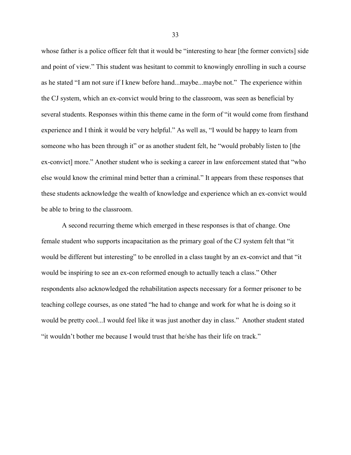whose father is a police officer felt that it would be "interesting to hear [the former convicts] side and point of view." This student was hesitant to commit to knowingly enrolling in such a course as he stated "I am not sure if I knew before hand...maybe...maybe not." The experience within the CJ system, which an ex-convict would bring to the classroom, was seen as beneficial by several students. Responses within this theme came in the form of "it would come from firsthand experience and I think it would be very helpful." As well as, "I would be happy to learn from someone who has been through it" or as another student felt, he "would probably listen to [the ex-convict] more." Another student who is seeking a career in law enforcement stated that "who else would know the criminal mind better than a criminal." It appears from these responses that these students acknowledge the wealth of knowledge and experience which an ex-convict would be able to bring to the classroom.

A second recurring theme which emerged in these responses is that of change. One female student who supports incapacitation as the primary goal of the CJ system felt that "it would be different but interesting" to be enrolled in a class taught by an ex-convict and that "it would be inspiring to see an ex-con reformed enough to actually teach a class." Other respondents also acknowledged the rehabilitation aspects necessary for a former prisoner to be teaching college courses, as one stated "he had to change and work for what he is doing so it would be pretty cool...I would feel like it was just another day in class." Another student stated "it wouldn't bother me because I would trust that he/she has their life on track."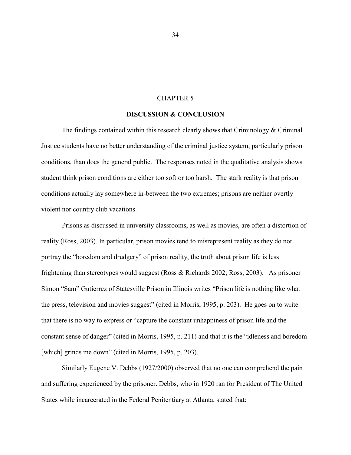# CHAPTER 5

#### **DISCUSSION & CONCLUSION**

<span id="page-41-0"></span>The findings contained within this research clearly shows that Criminology  $\&$  Criminal Justice students have no better understanding of the criminal justice system, particularly prison conditions, than does the general public. The responses noted in the qualitative analysis shows student think prison conditions are either too soft or too harsh. The stark reality is that prison conditions actually lay somewhere in-between the two extremes; prisons are neither overtly violent nor country club vacations.

Prisons as discussed in university classrooms, as well as movies, are often a distortion of reality (Ross, 2003). In particular, prison movies tend to misrepresent reality as they do not portray the "boredom and drudgery" of prison reality, the truth about prison life is less frightening than stereotypes would suggest (Ross & Richards 2002; Ross, 2003). As prisoner Simon "Sam" Gutierrez of Statesville Prison in Illinois writes "Prison life is nothing like what the press, television and movies suggest" (cited in Morris, 1995, p. 203). He goes on to write that there is no way to express or "capture the constant unhappiness of prison life and the constant sense of danger" (cited in Morris, 1995, p. 211) and that it is the "idleness and boredom [which] grinds me down" (cited in Morris, 1995, p. 203).

Similarly Eugene V. Debbs (1927/2000) observed that no one can comprehend the pain and suffering experienced by the prisoner. Debbs, who in 1920 ran for President of The United States while incarcerated in the Federal Penitentiary at Atlanta, stated that: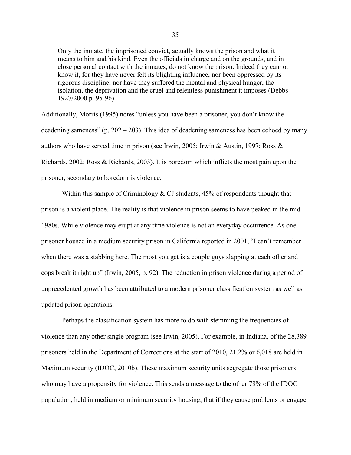Only the inmate, the imprisoned convict, actually knows the prison and what it means to him and his kind. Even the officials in charge and on the grounds, and in close personal contact with the inmates, do not know the prison. Indeed they cannot know it, for they have never felt its blighting influence, nor been oppressed by its rigorous discipline; nor have they suffered the mental and physical hunger, the isolation, the deprivation and the cruel and relentless punishment it imposes (Debbs 1927/2000 p. 95-96).

Additionally, Morris (1995) notes "unless you have been a prisoner, you don't know the deadening sameness" (p. 202 – 203). This idea of deadening sameness has been echoed by many authors who have served time in prison (see Irwin, 2005; Irwin & Austin, 1997; Ross & Richards, 2002; Ross & Richards, 2003). It is boredom which inflicts the most pain upon the prisoner; secondary to boredom is violence.

Within this sample of Criminology  $&$  CJ students, 45% of respondents thought that prison is a violent place. The reality is that violence in prison seems to have peaked in the mid 1980s. While violence may erupt at any time violence is not an everyday occurrence. As one prisoner housed in a medium security prison in California reported in 2001, "I can't remember when there was a stabbing here. The most you get is a couple guys slapping at each other and cops break it right up" (Irwin, 2005, p. 92). The reduction in prison violence during a period of unprecedented growth has been attributed to a modern prisoner classification system as well as updated prison operations.

Perhaps the classification system has more to do with stemming the frequencies of violence than any other single program (see Irwin, 2005). For example, in Indiana, of the 28,389 prisoners held in the Department of Corrections at the start of 2010, 21.2% or 6,018 are held in Maximum security (IDOC, 2010b). These maximum security units segregate those prisoners who may have a propensity for violence. This sends a message to the other 78% of the IDOC population, held in medium or minimum security housing, that if they cause problems or engage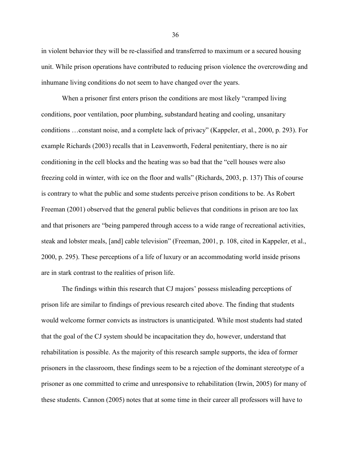in violent behavior they will be re-classified and transferred to maximum or a secured housing unit. While prison operations have contributed to reducing prison violence the overcrowding and inhumane living conditions do not seem to have changed over the years.

When a prisoner first enters prison the conditions are most likely "cramped living conditions, poor ventilation, poor plumbing, substandard heating and cooling, unsanitary conditions …constant noise, and a complete lack of privacy" (Kappeler, et al., 2000, p. 293). For example Richards (2003) recalls that in Leavenworth, Federal penitentiary, there is no air conditioning in the cell blocks and the heating was so bad that the "cell houses were also freezing cold in winter, with ice on the floor and walls" (Richards, 2003, p. 137) This of course is contrary to what the public and some students perceive prison conditions to be. As Robert Freeman (2001) observed that the general public believes that conditions in prison are too lax and that prisoners are "being pampered through access to a wide range of recreational activities, steak and lobster meals, [and] cable television" (Freeman, 2001, p. 108, cited in Kappeler, et al., 2000, p. 295). These perceptions of a life of luxury or an accommodating world inside prisons are in stark contrast to the realities of prison life.

The findings within this research that CJ majors' possess misleading perceptions of prison life are similar to findings of previous research cited above. The finding that students would welcome former convicts as instructors is unanticipated. While most students had stated that the goal of the CJ system should be incapacitation they do, however, understand that rehabilitation is possible. As the majority of this research sample supports, the idea of former prisoners in the classroom, these findings seem to be a rejection of the dominant stereotype of a prisoner as one committed to crime and unresponsive to rehabilitation (Irwin, 2005) for many of these students. Cannon (2005) notes that at some time in their career all professors will have to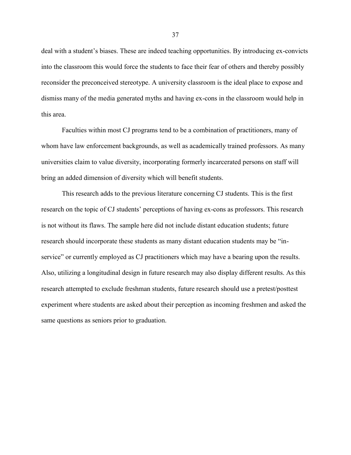deal with a student's biases. These are indeed teaching opportunities. By introducing ex-convicts into the classroom this would force the students to face their fear of others and thereby possibly reconsider the preconceived stereotype. A university classroom is the ideal place to expose and dismiss many of the media generated myths and having ex-cons in the classroom would help in this area.

Faculties within most CJ programs tend to be a combination of practitioners, many of whom have law enforcement backgrounds, as well as academically trained professors. As many universities claim to value diversity, incorporating formerly incarcerated persons on staff will bring an added dimension of diversity which will benefit students.

This research adds to the previous literature concerning CJ students. This is the first research on the topic of CJ students' perceptions of having ex-cons as professors. This research is not without its flaws. The sample here did not include distant education students; future research should incorporate these students as many distant education students may be "inservice" or currently employed as CJ practitioners which may have a bearing upon the results. Also, utilizing a longitudinal design in future research may also display different results. As this research attempted to exclude freshman students, future research should use a pretest/posttest experiment where students are asked about their perception as incoming freshmen and asked the same questions as seniors prior to graduation.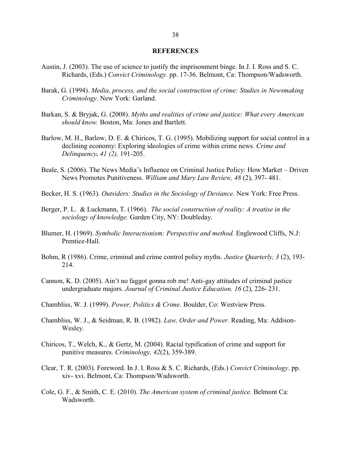### **REFERENCES**

- <span id="page-45-0"></span>Austin, J. (2003). The use of science to justify the imprisonment binge. In J. I. Ross and S. C. Richards, (Eds.) *Convict Criminology*. pp. 17-36. Belmont, Ca: Thompson/Wadsworth.
- Barak, G. (1994). *Media, process, and the social construction of crime: Studies in Newsmaking Criminology*. New York: Garland.
- Barkan, S. & Bryjak, G. (2008). *Myths and realities of crime and justice: What every American should know.* Boston, Ma: Jones and Bartlett.
- Barlow, M. H., Barlow, D. E. & Chiricos, T. G. (1995). Mobilizing support for social control in a declining economy: Exploring ideologies of crime within crime news. *Crime and Delinquency. 41 (2),* 191-205.
- Beale, S. (2006). The News Media's Influence on Criminal Justice Policy: How Market Driven News Promotes Punitiveness. *William and Mary Law Review, 48* (2), 397- 481.
- Becker, H. S. (1963). *Outsiders: Studies in the Sociology of Deviance.* New York: Free Press.
- Berger, P. L. & Luckmann, T. (1966). *The social construction of reality: A treatise in the sociology of knowledge.* Garden City, NY: Doubleday.
- Blumer, H. (1969). *Symbolic Interactionism: Perspective and method.* Englewood Cliffs, N.J: Prentice-Hall.
- Bohm, R (1986). Crime, criminal and crime control policy myths. *Justice Quarterly, 3* (2), 193- 214.
- Cannon, K. D. (2005). Ain't no faggot gonna rob me! Anti-gay attitudes of criminal justice undergraduate majors. *Journal of Criminal Justice Education. 16* (2), 226- 231.
- Chambliss, W. J. (1999). *Power, Politics & Crime*. Boulder, Co: Westview Press.
- Chambliss, W. J., & Seidman, R. B. (1982). *Law, Order and Power.* Reading, Ma: Addison-Wesley.
- Chiricos, T., Welch, K., & Gertz, M. (2004). Racial typification of crime and support for punitive measures. *Criminology, 42*(2), 359-389.
- Clear, T. R. (2003). Foreword. In J. I. Ross & S. C. Richards, (Eds.) *Convict Criminology*. pp. xiv- xvi. Belmont, Ca: Thompson/Wadsworth.
- Cole, G. F., & Smith, C. E. (2010). *The American system of criminal justice.* Belmont Ca: Wadsworth.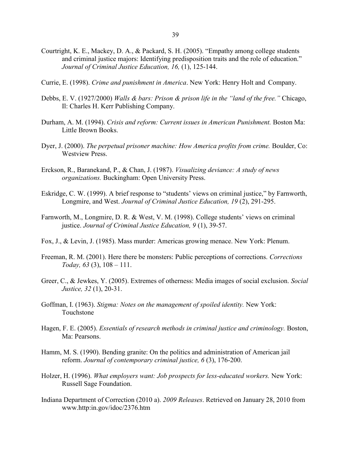- Courtright, K. E., Mackey, D. A., & Packard, S. H. (2005). "Empathy among college students and criminal justice majors: Identifying predisposition traits and the role of education." *Journal of Criminal Justice Education, 16,* (1), 125-144.
- Currie, E. (1998). *Crime and punishment in America*. New York: Henry Holt and Company.
- Debbs, E. V. (1927/2000) *Walls & bars: Prison & prison life in the "land of the free."* Chicago, Il: Charles H. Kerr Publishing Company.
- Durham, A. M. (1994). *Crisis and reform: Current issues in American Punishment*. Boston Ma: Little Brown Books.
- Dyer, J. (2000). *The perpetual prisoner machine: How America profits from crime.* Boulder, Co: Westview Press.
- Erckson, R., Baranekand, P., & Chan, J. (1987). *Visualizing deviance: A study of news organizations.* Buckingham: Open University Press.
- Eskridge, C. W. (1999). A brief response to "students' views on criminal justice," by Farnworth, Longmire, and West. *Journal of Criminal Justice Education, 19* (2), 291-295.
- Farnworth, M., Longmire, D. R. & West, V. M. (1998). College students' views on criminal justice. *Journal of Criminal Justice Education, 9* (1), 39-57.
- Fox, J., & Levin, J. (1985). Mass murder: Americas growing menace. New York: Plenum.
- Freeman, R. M. (2001). Here there be monsters: Public perceptions of corrections. *Corrections Today, 63* (3), 108 – 111.
- Greer, C., & Jewkes, Y. (2005). Extremes of otherness: Media images of social exclusion. *Social Justice, 32* (1), 20-31.
- Goffman, I. (1963). *Stigma: Notes on the management of spoiled identity.* New York: Touchstone
- Hagen, F. E. (2005). *Essentials of research methods in criminal justice and criminology.* Boston, Ma: Pearsons.
- Hamm, M. S. (1990). Bending granite: On the politics and administration of American jail reform. *Journal of contemporary criminal justice, 6* (3), 176-200.
- Holzer, H. (1996). *What employers want: Job prospects for less-educated workers.* New York: Russell Sage Foundation.
- Indiana Department of Correction (2010 a). *2009 Releases*. Retrieved on January 28, 2010 from www.http:in.gov/idoc/2376.htm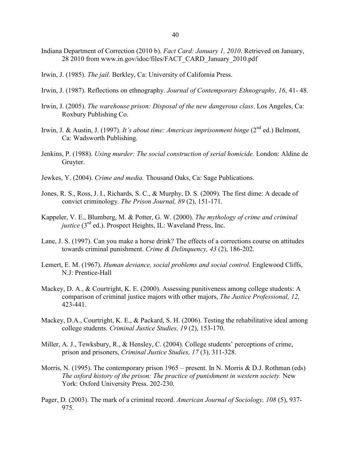- Indiana Department of Correction (2010 b). *Fact Card: January 1, 2010*. Retrieved on January, 28 2010 from www.in.gov/idoc/files/FACT\_CARD\_January\_2010.pdf
- Irwin, J. (1985). *The jail.* Berkley, Ca: University of California Press.
- Irwin, J. (1987). Reflections on ethnography. *Journal of Contemporary Ethnography, 16*, 41- 48.
- Irwin, J. (2005). *The warehouse prison: Disposal of the new dangerous class*. Los Angeles, Ca: Roxbury Publishing Co.
- Irwin, J. & Austin, J. (1997). *It's about time: Americas imprisonment binge* (2<sup>nd</sup> ed.) Belmont, Ca: Wadsworth Publishing.
- Jenkins, P. (1988). *Using murder: The social construction of serial homicide.* London: Aldine de Gruyter.
- Jewkes, Y. (2004). *Crime and media.* Thousand Oaks, Ca: Sage Publications.
- Jones, R. S., Ross, J. I., Richards, S. C., & Murphy, D. S. (2009). The first dime: A decade of convict criminology. *The Prison Journal, 89* (2), 151-171.
- Kappeler, V. E., Blumberg, M. & Potter, G. W. (2000). *The mythology of crime and criminal justice*  $(3<sup>rd</sup>$  ed.). Prospect Heights, IL: Waveland Press, Inc.
- Lane, J. S. (1997). Can you make a horse drink? The effects of a corrections course on attitudes towards criminal punishment. *Crime & Delinquency, 43* (2), 186-202.
- Lemert, E. M. (1967). *Human deviance, social problems and social control*. Englewood Cliffs, N.J: Prentice-Hall
- Mackey, D. A., & Courtright, K. E. (2000). Assessing punitiveness among college students: A comparison of criminal justice majors with other majors, *The Justice Professional, 12,* 423-441.
- Mackey, D.A., Courtright, K. E., & Packard, S. H. (2006). Testing the rehabilitative ideal among college students. *Criminal Justice Studies, 19* (2), 153-170.
- Miller, A. J., Tewksbury, R., & Hensley, C. (2004). College students' perceptions of crime, prison and prisoners, *Criminal Justice Studies, 17* (3), 311-328.
- Morris, N. (1995). The contemporary prison 1965 present. In N. Morris & D.J. Rothman (eds) The oxford history of the prison: The practice of punishment in western society. New York: Oxford University Press. 202-230.
- Pager, D. (2003). The mark of a criminal record. *American Journal of Sociology, 108* (5), 937- 975.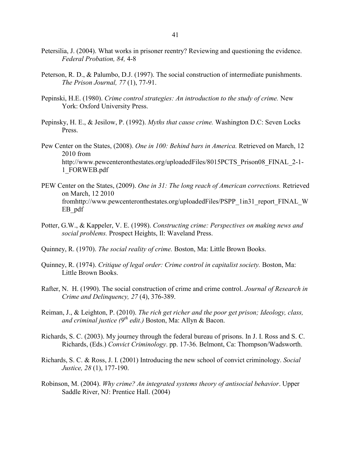- Petersilia, J. (2004). What works in prisoner reentry? Reviewing and questioning the evidence. *Federal Probation, 84,* 4-8
- Peterson, R. D., & Palumbo, D.J. (1997). The social construction of intermediate punishments. *The Prison Journal, 77* (1), 77-91.
- Pepinski, H.E. (1980). *Crime control strategies: An introduction to the study of crime.* New York: Oxford University Press.
- Pepinsky, H. E., & Jesilow, P. (1992). *Myths that cause crime.* Washington D.C: Seven Locks Press.
- Pew Center on the States, (2008). *One in 100: Behind bars in America.* Retrieved on March, 12 2010 from http://www.pewcenteronthestates.org/uploadedFiles/8015PCTS\_Prison08\_FINAL\_2-1-1\_FORWEB.pdf
- PEW Center on the States, (2009). *One in 31: The long reach of American corrections.* Retrieved on March, 12 2010 fromhttp://www.pewcenteronthestates.org/uploadedFiles/PSPP\_1in31\_report\_FINAL\_W EB\_pdf
- Potter, G.W., & Kappeler, V. E. (1998). *Constructing crime: Perspectives on making news and social problems.* Prospect Heights, Il: Waveland Press.
- Quinney, R. (1970). *The social reality of crime.* Boston, Ma: Little Brown Books.
- Quinney, R. (1974). *Critique of legal order: Crime control in capitalist society.* Boston, Ma: Little Brown Books.
- Rafter, N. H. (1990). The social construction of crime and crime control. *Journal of Research in Crime and Delinquency, 27* (4), 376-389.
- Reiman, J., & Leighton, P. (2010). *The rich get richer and the poor get prison; Ideology, class, and criminal justice (9th edit.)* Boston, Ma: Allyn & Bacon.
- Richards, S. C. (2003). My journey through the federal bureau of prisons. In J. I. Ross and S. C. Richards, (Eds.) *Convict Criminology*. pp. 17-36. Belmont, Ca: Thompson/Wadsworth.
- Richards, S. C. & Ross, J. I. (2001) Introducing the new school of convict criminology. *Social Justice, 28* (1), 177-190.
- Robinson, M. (2004). *Why crime? An integrated systems theory of antisocial behavior*. Upper Saddle River, NJ: Prentice Hall. (2004)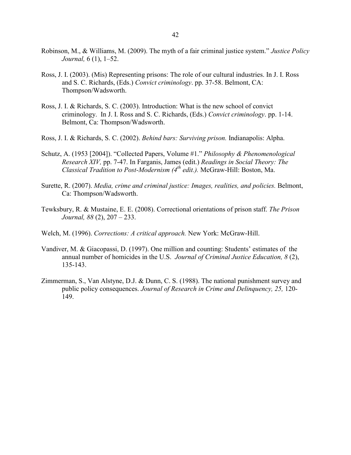- Robinson, M., & Williams, M. (2009). The myth of a fair criminal justice system." *Justice Policy Journal,* 6 (1), 1–52.
- Ross, J. I. (2003). (Mis) Representing prisons: The role of our cultural industries. In J. I. Ross and S. C. Richards, (Eds.) *Convict criminology*. pp. 37-58. Belmont, CA: Thompson/Wadsworth.
- Ross, J. I. & Richards, S. C. (2003). Introduction: What is the new school of convict criminology. In J. I. Ross and S. C. Richards, (Eds.) *Convict criminology*. pp. 1-14. Belmont, Ca: Thompson/Wadsworth.
- Ross, J. I. & Richards, S. C. (2002). *Behind bars: Surviving prison.* Indianapolis: Alpha.
- Schutz, A. (1953 [2004]). "Collected Papers, Volume #1." *Philosophy & Phenomenological Research XIV,* pp. 7-47. In Farganis, James (edit.) *Readings in Social Theory: The Classical Tradition to Post-Modernism (4th edit.).* McGraw-Hill: Boston, Ma.
- Surette, R. (2007). *Media, crime and criminal justice: Images, realities, and policies.* Belmont, Ca: Thompson/Wadsworth.
- Tewksbury, R. & Mustaine, E. E. (2008). Correctional orientations of prison staff. *The Prison Journal, 88* (2), 207 – 233.
- Welch, M. (1996). *Corrections: A critical approach.* New York: McGraw-Hill.
- Vandiver, M. & Giacopassi, D. (1997). One million and counting: Students' estimates of the annual number of homicides in the U.S. *Journal of Criminal Justice Education, 8* (2), 135-143.
- Zimmerman, S., Van Alstyne, D.J. & Dunn, C. S. (1988). The national punishment survey and public policy consequences. *Journal of Research in Crime and Delinquency, 25,* 120- 149.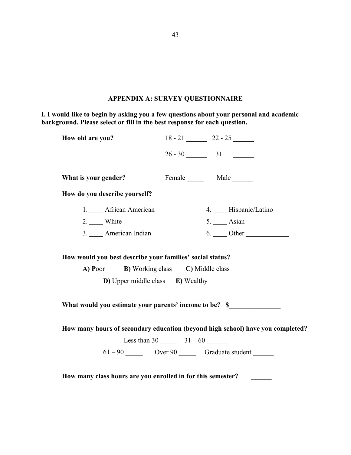# **APPENDIX A: SURVEY QUESTIONNAIRE**

<span id="page-50-0"></span>**I. I would like to begin by asking you a few questions about your personal and academic background. Please select or fill in the best response for each question.**

| How old are you?                                            |                                                  | $18 - 21$ 22 - 25                                                              |
|-------------------------------------------------------------|--------------------------------------------------|--------------------------------------------------------------------------------|
|                                                             |                                                  | $26 - 30$ 31 +                                                                 |
| What is your gender?                                        |                                                  | Female Male                                                                    |
| How do you describe yourself?                               |                                                  |                                                                                |
| 1. African American                                         |                                                  | 4. ___Hispanic/Latino                                                          |
| $2.$ White                                                  |                                                  | 5. _____ Asian                                                                 |
| 3. ____ American Indian                                     |                                                  |                                                                                |
| A) Poor<br><b>D</b> ) Upper middle class <b>E</b> ) Wealthy | <b>B</b> ) Working class <b>C</b> ) Middle class |                                                                                |
| What would you estimate your parents' income to be? \$      |                                                  |                                                                                |
|                                                             |                                                  | How many hours of secondary education (beyond high school) have you completed? |
|                                                             |                                                  | $61 - 90$ Over $90$ Graduate student _______                                   |
| How many class hours are you enrolled in for this semester? |                                                  |                                                                                |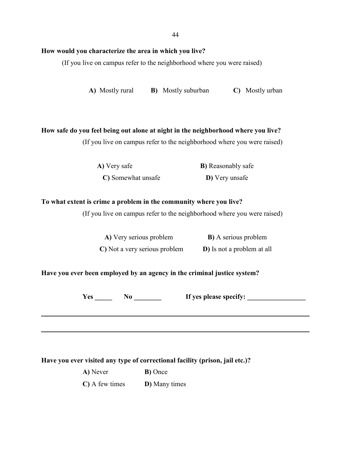# **How would you characterize the area in which you live?**

(If you live on campus refer to the neighborhood where you were raised)

**A)** Mostly rural **B)** Mostly suburban **C)** Mostly urban

#### **How safe do you feel being out alone at night in the neighborhood where you live?**

(If you live on campus refer to the neighborhood where you were raised)

| A) Very safe       | <b>B</b> ) Reasonably safe |
|--------------------|----------------------------|
| C) Somewhat unsafe | D) Very unsafe             |

# **To what extent is crime a problem in the community where you live?**

(If you live on campus refer to the neighborhood where you were raised)

| A) Very serious problem       | <b>B</b> ) A serious problem       |
|-------------------------------|------------------------------------|
| C) Not a very serious problem | <b>D</b> ) Is not a problem at all |

# **Have you ever been employed by an agency in the criminal justice system?**

**Yes \_\_\_\_\_ No \_\_\_\_\_\_\_\_ If yes please specify: \_\_\_\_\_\_\_\_\_\_\_\_\_\_\_\_\_**

**Have you ever visited any type of correctional facility (prison, jail etc.)?**

| A) Never | <b>B</b> ) Once |
|----------|-----------------|
|          |                 |

**C)** A few times **D)** Many times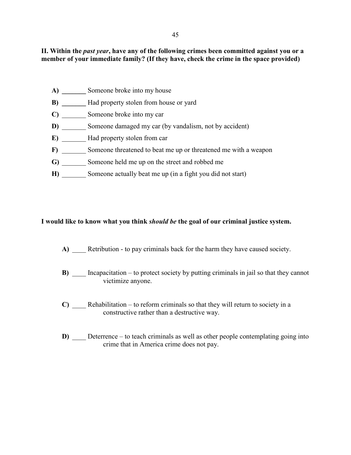45

II. Within the *past year*, have any of the following crimes been committed against you or a **member of your immediate family? (If they have, check the crime in the space provided)**

- A) **Someone broke into my house**
- **B**) **Had property stolen from house or yard**
- **C)** \_\_\_\_\_\_\_ Someone broke into my car
- **D)** Someone damaged my car (by vandalism, not by accident)
- **E)** Had property stolen from car
- **F)** Someone threatened to beat me up or threatened me with a weapon
- G) Someone held me up on the street and robbed me
- **H)** Someone actually beat me up (in a fight you did not start)

# **I would like to know what you think** *should be* **the goal of our criminal justice system.**

- A) Retribution to pay criminals back for the harm they have caused society.
- **B**) Incapacitation to protect society by putting criminals in jail so that they cannot victimize anyone.
- **C**) Rehabilitation to reform criminals so that they will return to society in a constructive rather than a destructive way.
- **D)** Deterrence to teach criminals as well as other people contemplating going into crime that in America crime does not pay.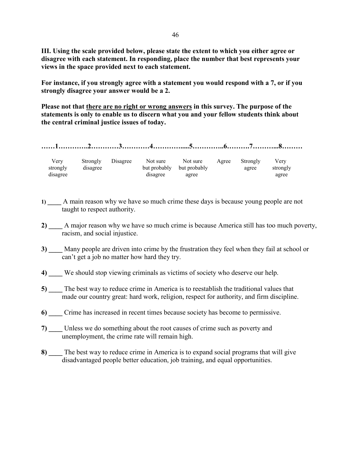**III. Using the scale provided below, please state the extent to which you either agree or disagree with each statement. In responding, place the number that best represents your views in the space provided next to each statement.**

**For instance, if you strongly agree with a statement you would respond with a 7, or if you strongly disagree your answer would be a 2.** 

**Please not that there are no right or wrong answers in this survey. The purpose of the statements is only to enable us to discern what you and your fellow students think about the central criminal justice issues of today.** 

**……1………….2…………3…………4………….....5…………..6……….7………...8………**

| Very     | Strongly | Disagree | Not sure     | Not sure     | Agree | Strongly | Verv     |
|----------|----------|----------|--------------|--------------|-------|----------|----------|
| strongly | disagree |          | but probably | but probably |       | agree    | strongly |
| disagree |          |          | disagree     | agree        |       |          | agree    |

- **1) \_\_\_\_** A main reason why we have so much crime these days is because young people are not taught to respect authority.
- **2) \_\_\_\_** A major reason why we have so much crime is because America still has too much poverty, racism, and social injustice.
- **3) \_\_\_\_** Many people are driven into crime by the frustration they feel when they fail at school or can't get a job no matter how hard they try.
- **4) \_\_\_\_** We should stop viewing criminals as victims of society who deserve our help.
- **5)** The best way to reduce crime in America is to reestablish the traditional values that made our country great: hard work, religion, respect for authority, and firm discipline.
- **6)** Crime has increased in recent times because society has become to permissive.
- **7) \_\_\_\_** Unless we do something about the root causes of crime such as poverty and unemployment, the crime rate will remain high.
- **8) \_\_\_\_** The best way to reduce crime in America is to expand social programs that will give disadvantaged people better education, job training, and equal opportunities.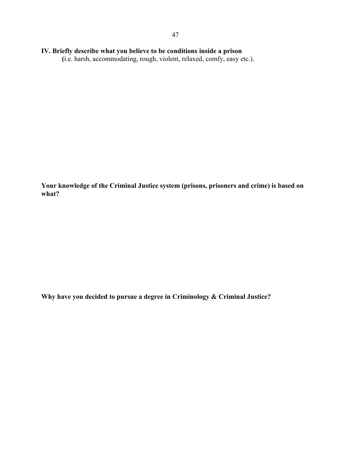# **IV. Briefly describe what you believe to be conditions inside a prison**

**(**i.e. harsh, accommodating, rough, violent, relaxed, comfy, easy etc.).

**Your knowledge of the Criminal Justice system (prisons, prisoners and crime) is based on what?**

**Why have you decided to pursue a degree in Criminology & Criminal Justice?**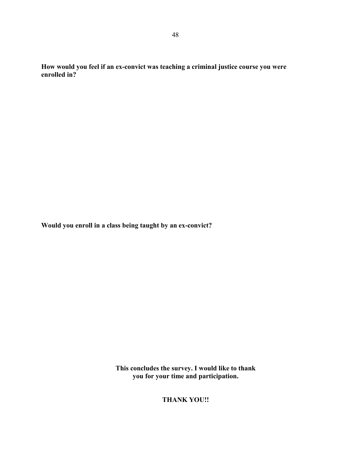**How would you feel if an ex-convict was teaching a criminal justice course you were enrolled in?**

**Would you enroll in a class being taught by an ex-convict?** 

**This concludes the survey. I would like to thank you for your time and participation.**

**THANK YOU!!**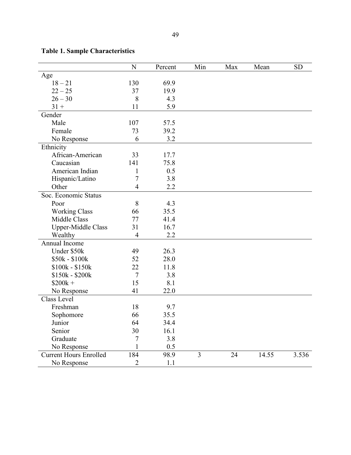|                               | N              | Percent | Min            | Max | Mean  | <b>SD</b> |
|-------------------------------|----------------|---------|----------------|-----|-------|-----------|
| Age                           |                |         |                |     |       |           |
| $18 - 21$                     | 130            | 69.9    |                |     |       |           |
| $22 - 25$                     | 37             | 19.9    |                |     |       |           |
| $26 - 30$                     | 8              | 4.3     |                |     |       |           |
| $31 +$                        | 11             | 5.9     |                |     |       |           |
| Gender                        |                |         |                |     |       |           |
| Male                          | 107            | 57.5    |                |     |       |           |
| Female                        | 73             | 39.2    |                |     |       |           |
| No Response                   | 6              | 3.2     |                |     |       |           |
| Ethnicity                     |                |         |                |     |       |           |
| African-American              | 33             | 17.7    |                |     |       |           |
| Caucasian                     | 141            | 75.8    |                |     |       |           |
| American Indian               | $\mathbf{1}$   | 0.5     |                |     |       |           |
| Hispanic/Latino               | $\overline{7}$ | 3.8     |                |     |       |           |
| Other                         | $\overline{4}$ | 2.2     |                |     |       |           |
| Soc. Economic Status          |                |         |                |     |       |           |
| Poor                          | 8              | 4.3     |                |     |       |           |
| <b>Working Class</b>          | 66             | 35.5    |                |     |       |           |
| Middle Class                  | 77             | 41.4    |                |     |       |           |
| <b>Upper-Middle Class</b>     | 31             | 16.7    |                |     |       |           |
| Wealthy                       | $\overline{4}$ | 2.2     |                |     |       |           |
| Annual Income                 |                |         |                |     |       |           |
| Under \$50k                   | 49             | 26.3    |                |     |       |           |
| \$50k - \$100k                | 52             | 28.0    |                |     |       |           |
| \$100k - \$150k               | 22             | 11.8    |                |     |       |           |
| \$150k - \$200k               | $\overline{7}$ | 3.8     |                |     |       |           |
| $$200k +$                     | 15             | 8.1     |                |     |       |           |
| No Response                   | 41             | 22.0    |                |     |       |           |
| Class Level                   |                |         |                |     |       |           |
| Freshman                      | 18             | 9.7     |                |     |       |           |
| Sophomore                     | 66             | 35.5    |                |     |       |           |
| Junior                        | 64             | 34.4    |                |     |       |           |
| Senior                        | 30             | 16.1    |                |     |       |           |
| Graduate                      | 7              | 3.8     |                |     |       |           |
| No Response                   |                | 0.5     |                |     |       |           |
| <b>Current Hours Enrolled</b> | 184            | 98.9    | $\overline{3}$ | 24  | 14.55 | 3.536     |
| No Response                   | 2              | 1.1     |                |     |       |           |

# <span id="page-56-0"></span>**Table 1. Sample Characteristics**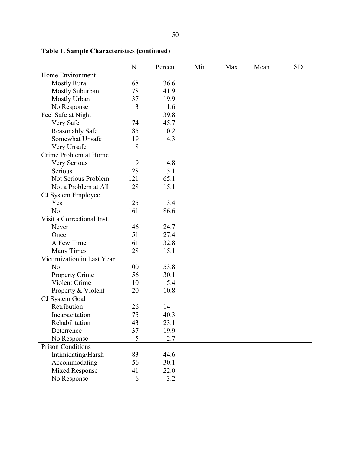|                            | N   | Percent | Min | Max | Mean | <b>SD</b> |
|----------------------------|-----|---------|-----|-----|------|-----------|
| Home Environment           |     |         |     |     |      |           |
| <b>Mostly Rural</b>        | 68  | 36.6    |     |     |      |           |
| Mostly Suburban            | 78  | 41.9    |     |     |      |           |
| Mostly Urban               | 37  | 19.9    |     |     |      |           |
| No Response                | 3   | 1.6     |     |     |      |           |
| Feel Safe at Night         |     | 39.8    |     |     |      |           |
| Very Safe                  | 74  | 45.7    |     |     |      |           |
| <b>Reasonably Safe</b>     | 85  | 10.2    |     |     |      |           |
| Somewhat Unsafe            | 19  | 4.3     |     |     |      |           |
| Very Unsafe                | 8   |         |     |     |      |           |
| Crime Problem at Home      |     |         |     |     |      |           |
| Very Serious               | 9   | 4.8     |     |     |      |           |
| Serious                    | 28  | 15.1    |     |     |      |           |
| Not Serious Problem        | 121 | 65.1    |     |     |      |           |
| Not a Problem at All       | 28  | 15.1    |     |     |      |           |
| CJ System Employee         |     |         |     |     |      |           |
| Yes                        | 25  | 13.4    |     |     |      |           |
| N <sub>o</sub>             | 161 | 86.6    |     |     |      |           |
| Visit a Correctional Inst. |     |         |     |     |      |           |
| Never                      | 46  | 24.7    |     |     |      |           |
| Once                       | 51  | 27.4    |     |     |      |           |
| A Few Time                 | 61  | 32.8    |     |     |      |           |
| <b>Many Times</b>          | 28  | 15.1    |     |     |      |           |
| Victimization in Last Year |     |         |     |     |      |           |
| N <sub>0</sub>             | 100 | 53.8    |     |     |      |           |
| Property Crime             | 56  | 30.1    |     |     |      |           |
| Violent Crime              | 10  | 5.4     |     |     |      |           |
| Property & Violent         | 20  | 10.8    |     |     |      |           |
| CJ System Goal             |     |         |     |     |      |           |
| Retribution                | 26  | 14      |     |     |      |           |
| Incapacitation             | 75  | 40.3    |     |     |      |           |
| Rehabilitation             | 43  | 23.1    |     |     |      |           |
| Deterrence                 | 37  | 19.9    |     |     |      |           |
| No Response                | 5   | 2.7     |     |     |      |           |
| <b>Prison Conditions</b>   |     |         |     |     |      |           |
| Intimidating/Harsh         | 83  | 44.6    |     |     |      |           |
| Accommodating              | 56  | 30.1    |     |     |      |           |
| <b>Mixed Response</b>      | 41  | 22.0    |     |     |      |           |
| No Response                | 6   | 3.2     |     |     |      |           |

# **Table 1. Sample Characteristics (continued)**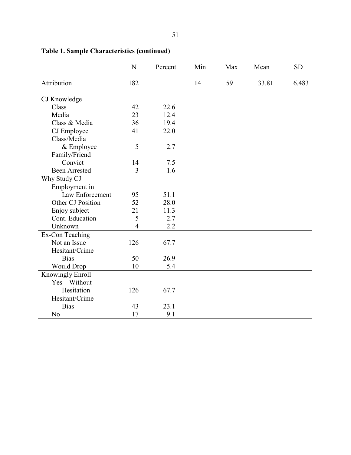|                      | N              | Percent | Min | Max | Mean  | <b>SD</b> |
|----------------------|----------------|---------|-----|-----|-------|-----------|
| Attribution          | 182            |         | 14  | 59  | 33.81 | 6.483     |
|                      |                |         |     |     |       |           |
| CJ Knowledge         |                |         |     |     |       |           |
| Class                | 42             | 22.6    |     |     |       |           |
| Media                | 23             | 12.4    |     |     |       |           |
| Class & Media        | 36             | 19.4    |     |     |       |           |
| CJ Employee          | 41             | 22.0    |     |     |       |           |
| Class/Media          |                |         |     |     |       |           |
| & Employee           | 5              | 2.7     |     |     |       |           |
| Family/Friend        |                |         |     |     |       |           |
| Convict              | 14             | 7.5     |     |     |       |           |
| <b>Been Arrested</b> | 3              | 1.6     |     |     |       |           |
| Why Study CJ         |                |         |     |     |       |           |
| Employment in        |                |         |     |     |       |           |
| Law Enforcement      | 95             | 51.1    |     |     |       |           |
| Other CJ Position    | 52             | 28.0    |     |     |       |           |
| Enjoy subject        | 21             | 11.3    |     |     |       |           |
| Cont. Education      | 5              | 2.7     |     |     |       |           |
| Unknown              | $\overline{4}$ | 2.2     |     |     |       |           |
| Ex-Con Teaching      |                |         |     |     |       |           |
| Not an Issue         | 126            | 67.7    |     |     |       |           |
| Hesitant/Crime       |                |         |     |     |       |           |
| <b>Bias</b>          | 50             | 26.9    |     |     |       |           |
| <b>Would Drop</b>    | 10             | 5.4     |     |     |       |           |
| Knowingly Enroll     |                |         |     |     |       |           |
| Yes - Without        |                |         |     |     |       |           |
| Hesitation           | 126            | 67.7    |     |     |       |           |
| Hesitant/Crime       |                |         |     |     |       |           |
| <b>Bias</b>          | 43             | 23.1    |     |     |       |           |
| N <sub>o</sub>       | 17             | 9.1     |     |     |       |           |

# **Table 1. Sample Characteristics (continued)**